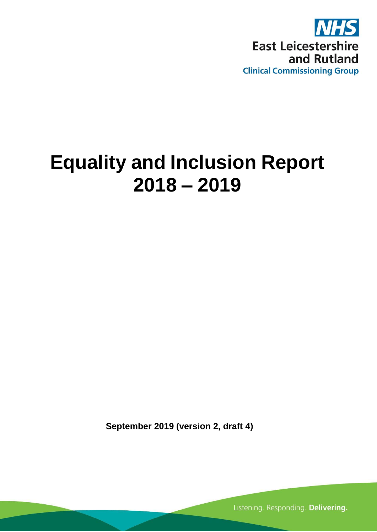

# **Equality and Inclusion Report 2018 – 2019**

**September 2019 (version 2, draft 4)**

Listening. Responding. Delivering.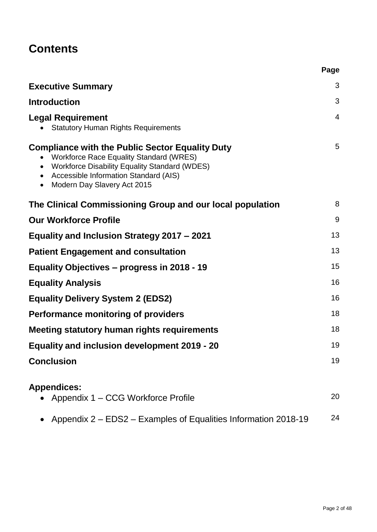# **Contents**

|                                                                                                                                                                                                                                                      | Page |
|------------------------------------------------------------------------------------------------------------------------------------------------------------------------------------------------------------------------------------------------------|------|
| <b>Executive Summary</b>                                                                                                                                                                                                                             | 3    |
| <b>Introduction</b>                                                                                                                                                                                                                                  | 3    |
| <b>Legal Requirement</b><br><b>Statutory Human Rights Requirements</b>                                                                                                                                                                               | 4    |
| <b>Compliance with the Public Sector Equality Duty</b><br><b>Workforce Race Equality Standard (WRES)</b><br>$\bullet$<br>• Workforce Disability Equality Standard (WDES)<br>• Accessible Information Standard (AIS)<br>• Modern Day Slavery Act 2015 | 5    |
| The Clinical Commissioning Group and our local population                                                                                                                                                                                            | 8    |
| <b>Our Workforce Profile</b>                                                                                                                                                                                                                         | 9    |
| Equality and Inclusion Strategy 2017 - 2021                                                                                                                                                                                                          | 13   |
| <b>Patient Engagement and consultation</b>                                                                                                                                                                                                           | 13   |
| Equality Objectives - progress in 2018 - 19                                                                                                                                                                                                          | 15   |
| <b>Equality Analysis</b>                                                                                                                                                                                                                             | 16   |
| <b>Equality Delivery System 2 (EDS2)</b>                                                                                                                                                                                                             | 16   |
| <b>Performance monitoring of providers</b>                                                                                                                                                                                                           | 18   |
| Meeting statutory human rights requirements                                                                                                                                                                                                          | 18   |
| <b>Equality and inclusion development 2019 - 20</b>                                                                                                                                                                                                  | 19   |
| <b>Conclusion</b>                                                                                                                                                                                                                                    | 19   |
| <b>Appendices:</b><br>• Appendix 1 – CCG Workforce Profile                                                                                                                                                                                           | 20   |
| Appendix 2 – EDS2 – Examples of Equalities Information 2018-19                                                                                                                                                                                       | 24   |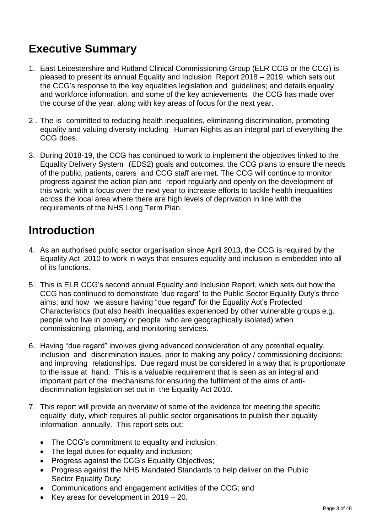# **Executive Summary**

- 1. East Leicestershire and Rutland Clinical Commissioning Group (ELR CCG or the CCG) is pleased to present its annual Equality and Inclusion Report 2018 – 2019, which sets out the CCG's response to the key equalities legislation and guidelines; and details equality and workforce information, and some of the key achievements the CCG has made over the course of the year, along with key areas of focus for the next year.
- 2 . The is committed to reducing health inequalities, eliminating discrimination, promoting equality and valuing diversity including Human Rights as an integral part of everything the CCG does.
- 3. During 2018-19, the CCG has continued to work to implement the objectives linked to the Equality Delivery System (EDS2) goals and outcomes, the CCG plans to ensure the needs of the public, patients, carers and CCG staff are met. The CCG will continue to monitor progress against the action plan and report regularly and openly on the development of this work; with a focus over the next year to increase efforts to tackle health inequalities across the local area where there are high levels of deprivation in line with the requirements of the NHS Long Term Plan.

### **Introduction**

- 4. As an authorised public sector organisation since April 2013, the CCG is required by the Equality Act 2010 to work in ways that ensures equality and inclusion is embedded into all of its functions.
- 5. This is ELR CCG's second annual Equality and Inclusion Report, which sets out how the CCG has continued to demonstrate 'due regard' to the Public Sector Equality Duty's three aims; and how we assure having "due regard" for the Equality Act's Protected Characteristics (but also health inequalities experienced by other vulnerable groups e.g. people who live in poverty or people who are geographically isolated) when commissioning, planning, and monitoring services.
- 6. Having "due regard" involves giving advanced consideration of any potential equality, inclusion and discrimination issues, prior to making any policy / commissioning decisions; and improving relationships. Due regard must be considered in a way that is proportionate to the issue at hand. This is a valuable requirement that is seen as an integral and important part of the mechanisms for ensuring the fulfilment of the aims of antidiscrimination legislation set out in the Equality Act 2010.
- 7. This report will provide an overview of some of the evidence for meeting the specific equality duty, which requires all public sector organisations to publish their equality information annually. This report sets out:
	- The CCG's commitment to equality and inclusion;
	- The legal duties for equality and inclusion;
	- Progress against the CCG's Equality Objectives;
	- Progress against the NHS Mandated Standards to help deliver on the Public Sector Equality Duty;
	- Communications and engagement activities of the CCG; and
	- Exercise Key areas for development in  $2019 20$ .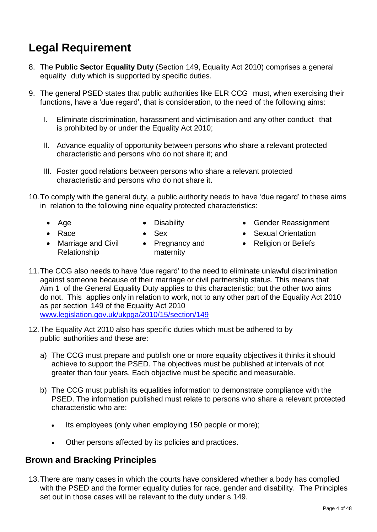# **Legal Requirement**

- 8. The **Public Sector Equality Duty** (Section 149, Equality Act 2010) comprises a general equality duty which is supported by specific duties.
- 9. The general PSED states that public authorities like ELR CCG must, when exercising their functions, have a 'due regard', that is consideration, to the need of the following aims:
	- I. Eliminate discrimination, harassment and victimisation and any other conduct that is prohibited by or under the Equality Act 2010;
	- II. Advance equality of opportunity between persons who share a relevant protected characteristic and persons who do not share it; and
	- III. Foster good relations between persons who share a relevant protected characteristic and persons who do not share it.
- 10.To comply with the general duty, a public authority needs to have 'due regard' to these aims in relation to the following nine equality protected characteristics:
	-

Relationship

• Marriage and Civil • Pregnancy and

maternity

- Age Cisability Cender Reassignment
- Race Sex Sexual Orientation
	- Religion or Beliefs
- 11.The CCG also needs to have 'due regard' to the need to eliminate unlawful discrimination against someone because of their marriage or civil partnership status. This means that Aim 1 of the General Equality Duty applies to this characteristic; but the other two aims do not. This applies only in relation to work, not to any other part of the Equality Act 2010 as per section 149 of the Equality Act 2010 [www.legislation.gov.uk/ukpga/2010/15/section/149](http://www.legislation.gov.uk/ukpga/2010/15/section/149)
- 12.The Equality Act 2010 also has specific duties which must be adhered to by public authorities and these are:
	- a) The CCG must prepare and publish one or more equality objectives it thinks it should achieve to support the PSED. The objectives must be published at intervals of not greater than four years. Each objective must be specific and measurable.
	- b) The CCG must publish its equalities information to demonstrate compliance with the PSED. The information published must relate to persons who share a relevant protected characteristic who are:
		- Its employees (only when employing 150 people or more);
		- Other persons affected by its policies and practices.

### **Brown and Bracking Principles**

13.There are many cases in which the courts have considered whether a body has complied with the PSED and the former equality duties for race, gender and disability. The Principles set out in those cases will be relevant to the duty under s.149.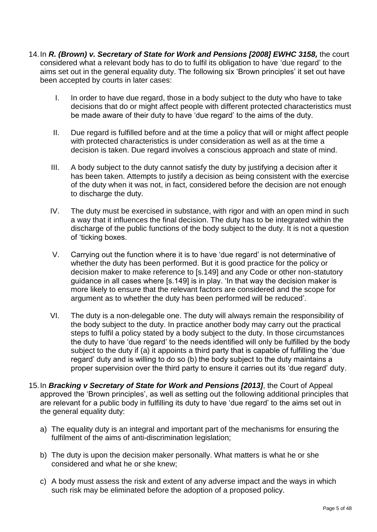- 14.In *R. (Brown) v. Secretary of State for Work and Pensions [2008] EWHC 3158,* the court considered what a relevant body has to do to fulfil its obligation to have 'due regard' to the aims set out in the general equality duty. The following six 'Brown principles' it set out have been accepted by courts in later cases:
	- I. In order to have due regard, those in a body subject to the duty who have to take decisions that do or might affect people with different protected characteristics must be made aware of their duty to have 'due regard' to the aims of the duty.
	- II. Due regard is fulfilled before and at the time a policy that will or might affect people with protected characteristics is under consideration as well as at the time a decision is taken. Due regard involves a conscious approach and state of mind.
	- III. A body subject to the duty cannot satisfy the duty by justifying a decision after it has been taken. Attempts to justify a decision as being consistent with the exercise of the duty when it was not, in fact, considered before the decision are not enough to discharge the duty.
	- IV. The duty must be exercised in substance, with rigor and with an open mind in such a way that it influences the final decision. The duty has to be integrated within the discharge of the public functions of the body subject to the duty. It is not a question of 'ticking boxes.
	- V. Carrying out the function where it is to have 'due regard' is not determinative of whether the duty has been performed. But it is good practice for the policy or decision maker to make reference to [s.149] and any Code or other non-statutory guidance in all cases where [s.149] is in play. 'In that way the decision maker is more likely to ensure that the relevant factors are considered and the scope for argument as to whether the duty has been performed will be reduced'.
	- VI. The duty is a non-delegable one. The duty will always remain the responsibility of the body subject to the duty. In practice another body may carry out the practical steps to fulfil a policy stated by a body subject to the duty. In those circumstances the duty to have 'due regard' to the needs identified will only be fulfilled by the body subject to the duty if (a) it appoints a third party that is capable of fulfilling the 'due regard' duty and is willing to do so (b) the body subject to the duty maintains a proper supervision over the third party to ensure it carries out its 'due regard' duty.
- 15.In *Bracking v Secretary of State for Work and Pensions [2013]*, the Court of Appeal approved the 'Brown principles', as well as setting out the following additional principles that are relevant for a public body in fulfilling its duty to have 'due regard' to the aims set out in the general equality duty:
	- a) The equality duty is an integral and important part of the mechanisms for ensuring the fulfilment of the aims of anti-discrimination legislation;
	- b) The duty is upon the decision maker personally. What matters is what he or she considered and what he or she knew;
	- c) A body must assess the risk and extent of any adverse impact and the ways in which such risk may be eliminated before the adoption of a proposed policy.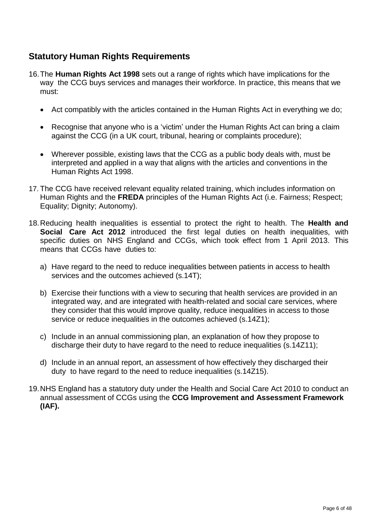### **Statutory Human Rights Requirements**

- 16.The **Human Rights Act 1998** sets out a range of rights which have implications for the way the CCG buys services and manages their workforce. In practice, this means that we must:
	- Act compatibly with the articles contained in the Human Rights Act in everything we do;
	- Recognise that anyone who is a 'victim' under the Human Rights Act can bring a claim against the CCG (in a UK court, tribunal, hearing or complaints procedure);
	- Wherever possible, existing laws that the CCG as a public body deals with, must be interpreted and applied in a way that aligns with the articles and conventions in the Human Rights Act 1998.
- 17. The CCG have received relevant equality related training, which includes information on Human Rights and the **FREDA** principles of the Human Rights Act (i.e. Fairness; Respect; Equality; Dignity; Autonomy).
- 18.Reducing health inequalities is essential to protect the right to health. The **Health and Social Care Act 2012** introduced the first legal duties on health inequalities, with specific duties on NHS England and CCGs, which took effect from 1 April 2013. This means that CCGs have duties to:
	- a) Have regard to the need to reduce inequalities between patients in access to health services and the outcomes achieved (s.14T);
	- b) Exercise their functions with a view to securing that health services are provided in an integrated way, and are integrated with health-related and social care services, where they consider that this would improve quality, reduce inequalities in access to those service or reduce inequalities in the outcomes achieved (s.14Z1);
	- c) Include in an annual commissioning plan, an explanation of how they propose to discharge their duty to have regard to the need to reduce inequalities (s.14Z11);
	- d) Include in an annual report, an assessment of how effectively they discharged their duty to have regard to the need to reduce inequalities (s.14Z15).
- 19.NHS England has a statutory duty under the Health and Social Care Act 2010 to conduct an annual assessment of CCGs using the **CCG Improvement and Assessment Framework (IAF).**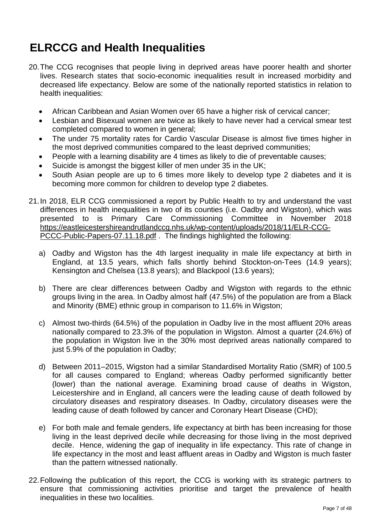# **ELRCCG and Health Inequalities**

- 20.The CCG recognises that people living in deprived areas have poorer health and shorter lives. Research states that socio-economic inequalities result in increased morbidity and decreased life expectancy. Below are some of the nationally reported statistics in relation to health inequalities:
	- African Caribbean and Asian Women over 65 have a higher risk of cervical cancer;
	- Lesbian and Bisexual women are twice as likely to have never had a cervical smear test completed compared to women in general;
	- The under 75 mortality rates for Cardio Vascular Disease is almost five times higher in the most deprived communities compared to the least deprived communities;
	- People with a learning disability are 4 times as likely to die of preventable causes;
	- Suicide is amongst the biggest killer of men under 35 in the UK;
	- South Asian people are up to 6 times more likely to develop type 2 diabetes and it is becoming more common for children to develop type 2 diabetes.
- 21.In 2018, ELR CCG commissioned a report by Public Health to try and understand the vast differences in health inequalities in two of its counties (i.e. Oadby and Wigston), which was presented to is Primary Care Commissioning Committee in November 2018 [https://eastleicestershireandrutlandccg.nhs.uk/wp-content/uploads/2018/11/ELR-CCG-](https://eastleicestershireandrutlandccg.nhs.uk/wp-content/uploads/2018/11/ELR-CCG-PCCC-Public-Papers-07.11.18.pdf)[PCCC-Public-Papers-07.11.18.pdf](https://eastleicestershireandrutlandccg.nhs.uk/wp-content/uploads/2018/11/ELR-CCG-PCCC-Public-Papers-07.11.18.pdf) . The findings highlighted the following:
	- a) Oadby and Wigston has the 4th largest inequality in male life expectancy at birth in England, at 13.5 years, which falls shortly behind Stockton-on-Tees (14.9 years); Kensington and Chelsea (13.8 years); and Blackpool (13.6 years);
	- b) There are clear differences between Oadby and Wigston with regards to the ethnic groups living in the area. In Oadby almost half (47.5%) of the population are from a Black and Minority (BME) ethnic group in comparison to 11.6% in Wigston;
	- c) Almost two-thirds (64.5%) of the population in Oadby live in the most affluent 20% areas nationally compared to 23.3% of the population in Wigston. Almost a quarter (24.6%) of the population in Wigston live in the 30% most deprived areas nationally compared to just 5.9% of the population in Oadby;
	- d) Between 2011–2015, Wigston had a similar Standardised Mortality Ratio (SMR) of 100.5 for all causes compared to England; whereas Oadby performed significantly better (lower) than the national average. Examining broad cause of deaths in Wigston, Leicestershire and in England, all cancers were the leading cause of death followed by circulatory diseases and respiratory diseases. In Oadby, circulatory diseases were the leading cause of death followed by cancer and Coronary Heart Disease (CHD);
	- e) For both male and female genders, life expectancy at birth has been increasing for those living in the least deprived decile while decreasing for those living in the most deprived decile. Hence, widening the gap of inequality in life expectancy. This rate of change in life expectancy in the most and least affluent areas in Oadby and Wigston is much faster than the pattern witnessed nationally.
- 22.Following the publication of this report, the CCG is working with its strategic partners to ensure that commissioning activities prioritise and target the prevalence of health inequalities in these two localities.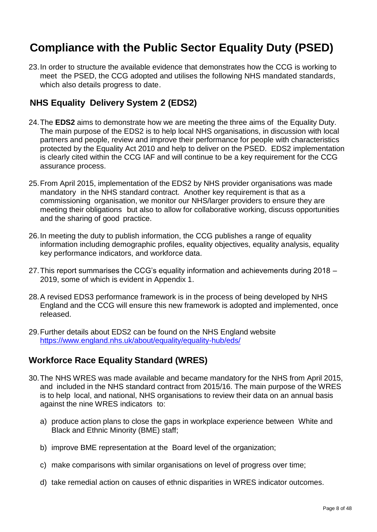# **Compliance with the Public Sector Equality Duty (PSED)**

23.In order to structure the available evidence that demonstrates how the CCG is working to meet the PSED, the CCG adopted and utilises the following NHS mandated standards, which also details progress to date.

### **NHS Equality Delivery System 2 (EDS2)**

- 24.The **EDS2** aims to demonstrate how we are meeting the three aims of the Equality Duty. The main purpose of the EDS2 is to help local NHS organisations, in discussion with local partners and people, review and improve their performance for people with characteristics protected by the Equality Act 2010 and help to deliver on the PSED. EDS2 implementation is clearly cited within the CCG IAF and will continue to be a key requirement for the CCG assurance process.
- 25.From April 2015, implementation of the EDS2 by NHS provider organisations was made mandatory in the NHS standard contract. Another key requirement is that as a commissioning organisation, we monitor our NHS/larger providers to ensure they are meeting their obligations but also to allow for collaborative working, discuss opportunities and the sharing of good practice.
- 26.In meeting the duty to publish information, the CCG publishes a range of equality information including demographic profiles, equality objectives, equality analysis, equality key performance indicators, and workforce data.
- 27.This report summarises the CCG's equality information and achievements during 2018 2019, some of which is evident in Appendix 1.
- 28.A revised EDS3 performance framework is in the process of being developed by NHS England and the CCG will ensure this new framework is adopted and implemented, once released.
- 29.Further details about EDS2 can be found on the NHS England website <https://www.england.nhs.uk/about/equality/equality-hub/eds/>

### **Workforce Race Equality Standard (WRES)**

- 30.The NHS WRES was made available and became mandatory for the NHS from April 2015, and included in the NHS standard contract from 2015/16. The main purpose of the WRES is to help local, and national, NHS organisations to review their data on an annual basis against the nine WRES indicators to:
	- a) produce action plans to close the gaps in workplace experience between White and Black and Ethnic Minority (BME) staff;
	- b) improve BME representation at the Board level of the organization;
	- c) make comparisons with similar organisations on level of progress over time;
	- d) take remedial action on causes of ethnic disparities in WRES indicator outcomes.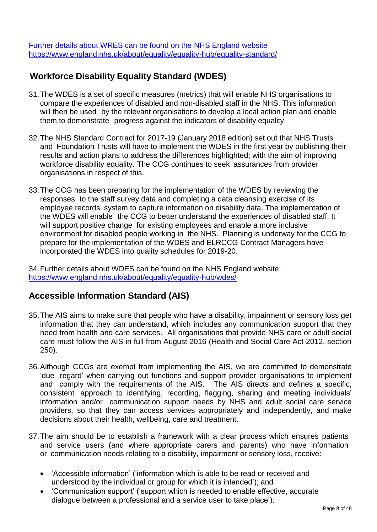Further details about WRES can be found on the NHS England website <https://www.england.nhs.uk/about/equality/equality-hub/equality-standard/>

### **Workforce Disability Equality Standard (WDES)**

- 31.The WDES is a set of specific measures (metrics) that will enable NHS organisations to compare the experiences of disabled and non-disabled staff in the NHS. This information will then be used by the relevant organisations to develop a local action plan and enable them to demonstrate progress against the indicators of disability equality.
- 32.The NHS Standard Contract for 2017-19 (January 2018 edition) set out that NHS Trusts and Foundation Trusts will have to implement the WDES in the first year by publishing their results and action plans to address the differences highlighted; with the aim of improving workforce disability equality. The CCG continues to seek assurances from provider organisations in respect of this.
- 33.The CCG has been preparing for the implementation of the WDES by reviewing the responses to the staff survey data and completing a data cleansing exercise of its employee records system to capture information on disability data. The implementation of the WDES will enable the CCG to better understand the experiences of disabled staff. It will support positive change for existing employees and enable a more inclusive environment for disabled people working in the NHS. Planning is underway for the CCG to prepare for the implementation of the WDES and ELRCCG Contract Managers have incorporated the WDES into quality schedules for 2019-20.

34.Further details about WDES can be found on the NHS England website: <https://www.england.nhs.uk/about/equality/equality-hub/wdes/>

### **Accessible Information Standard (AIS)**

- 35.The AIS aims to make sure that people who have a disability, impairment or sensory loss get information that they can understand, which includes any communication support that they need from health and care services. All organisations that provide NHS care or adult social care must follow the AIS in full from August 2016 (Health and Social Care Act 2012, section 250).
- 36.Although CCGs are exempt from implementing the AIS, we are committed to demonstrate 'due regard' when carrying out functions and support provider organisations to implement and comply with the requirements of the AIS. The AIS directs and defines a specific, consistent approach to identifying, recording, flagging, sharing and meeting individuals' information and/or communication support needs by NHS and adult social care service providers, so that they can access services appropriately and independently, and make decisions about their health, wellbeing, care and treatment.
- 37.The aim should be to establish a framework with a clear process which ensures patients and service users (and where appropriate carers and parents) who have information or communication needs relating to a disability, impairment or sensory loss, receive:
	- 'Accessible information' ('information which is able to be read or received and understood by the individual or group for which it is intended'); and
	- 'Communication support' ('support which is needed to enable effective, accurate dialogue between a professional and a service user to take place');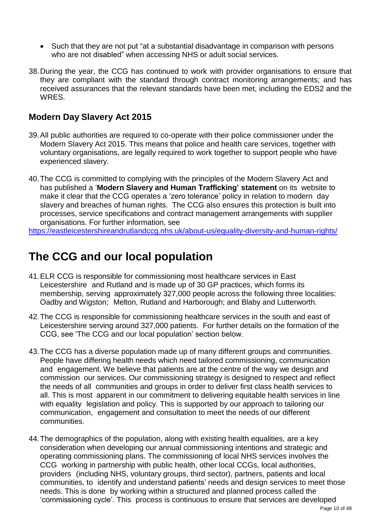- Such that they are not put "at a substantial disadvantage in comparison with persons who are not disabled" when accessing NHS or adult social services.
- 38.During the year, the CCG has continued to work with provider organisations to ensure that they are compliant with the standard through contract monitoring arrangements; and has received assurances that the relevant standards have been met, including the EDS2 and the WRES.

### **Modern Day Slavery Act 2015**

- 39.All public authorities are required to co-operate with their police commissioner under the Modern Slavery Act 2015. This means that police and health care services, together with voluntary organisations, are legally required to work together to support people who have experienced slavery.
- 40.The CCG is committed to complying with the principles of the Modern Slavery Act and has published a '**Modern Slavery and Human Trafficking' statement** on its website to make it clear that the CCG operates a 'zero tolerance' policy in relation to modern day slavery and breaches of human rights. The CCG also ensures this protection is built into processes, service specifications and contract management arrangements with supplier organisations. For further information, see

<https://eastleicestershireandrutlandccg.nhs.uk/about-us/equality-diversity-and-human-rights/>

### **The CCG and our local population**

- 41.ELR CCG is responsible for commissioning most healthcare services in East Leicestershire and Rutland and is made up of 30 GP practices, which forms its membership, serving approximately 327,000 people across the following three localities: Oadby and Wigston; Melton, Rutland and Harborough; and Blaby and Lutterworth.
- 42.The CCG is responsible for commissioning healthcare services in the south and east of Leicestershire serving around 327,000 patients. For further details on the formation of the CCG, see 'The CCG and our local population' section below.
- 43.The CCG has a diverse population made up of many different groups and communities. People have differing health needs which need tailored commissioning, communication and engagement. We believe that patients are at the centre of the way we design and commission our services. Our commissioning strategy is designed to respect and reflect the needs of all communities and groups in order to deliver first class health services to all. This is most apparent in our commitment to delivering equitable health services in line with equality legislation and policy. This is supported by our approach to tailoring our communication, engagement and consultation to meet the needs of our different communities.
- 44.The demographics of the population, along with existing health equalities, are a key consideration when developing our annual commissioning intentions and strategic and operating commissioning plans. The commissioning of local NHS services involves the CCG working in partnership with public health, other local CCGs, local authorities, providers (including NHS, voluntary groups, third sector), partners, patients and local communities, to identify and understand patients' needs and design services to meet those needs. This is done by working within a structured and planned process called the 'commissioning cycle'. This process is continuous to ensure that services are developed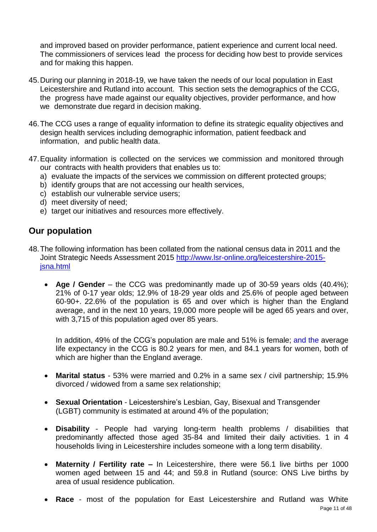and improved based on provider performance, patient experience and current local need. The commissioners of services lead the process for deciding how best to provide services and for making this happen.

- 45.During our planning in 2018-19, we have taken the needs of our local population in East Leicestershire and Rutland into account. This section sets the demographics of the CCG, the progress have made against our equality objectives, provider performance, and how we demonstrate due regard in decision making.
- 46.The CCG uses a range of equality information to define its strategic equality objectives and design health services including demographic information, patient feedback and information, and public health data.
- 47.Equality information is collected on the services we commission and monitored through our contracts with health providers that enables us to:
	- a) evaluate the impacts of the services we commission on different protected groups;
	- b) identify groups that are not accessing our health services,
	- c) establish our vulnerable service users;
	- d) meet diversity of need;
	- e) target our initiatives and resources more effectively.

### **Our population**

- 48.The following information has been collated from the national census data in 2011 and the Joint Strategic Needs Assessment 2015 [http://www.lsr-online.org/leicestershire-2015](http://www.lsr-online.org/leicestershire-2015-jsna.html) [jsna.html](http://www.lsr-online.org/leicestershire-2015-jsna.html)
	- **Age / Gender** the CCG was predominantly made up of 30-59 years olds (40.4%); 21% of 0-17 year olds; 12.9% of 18-29 year olds and 25.6% of people aged between 60-90+. 22.6% of the population is 65 and over which is higher than the England average, and in the next 10 years, 19,000 more people will be aged 65 years and over, with 3,715 of this population aged over 85 years.

In addition, 49% of the CCG's population are male and 51% is female; and the average life expectancy in the CCG is 80.2 years for men, and 84.1 years for women, both of which are higher than the England average.

- **Marital status** 53% were married and 0.2% in a same sex / civil partnership; 15.9% divorced / widowed from a same sex relationship;
- **Sexual Orientation** Leicestershire's Lesbian, Gay, Bisexual and Transgender (LGBT) community is estimated at around 4% of the population;
- **Disability** People had varying long-term health problems / disabilities that predominantly affected those aged 35-84 and limited their daily activities. 1 in 4 households living in Leicestershire includes someone with a long term disability.
- **Maternity / Fertility rate –** In Leicestershire, there were 56.1 live births per 1000 women aged between 15 and 44; and 59.8 in Rutland (source: ONS Live births by area of usual residence publication.
- **Race** most of the population for East Leicestershire and Rutland was White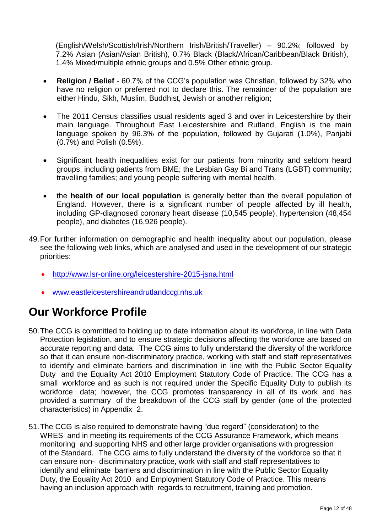(English/Welsh/Scottish/Irish/Northern Irish/British/Traveller) – 90.2%; followed by 7.2% Asian (Asian/Asian British), 0.7% Black (Black/African/Caribbean/Black British), 1.4% Mixed/multiple ethnic groups and 0.5% Other ethnic group.

- **Religion / Belief** 60.7% of the CCG's population was Christian, followed by 32% who have no religion or preferred not to declare this. The remainder of the population are either Hindu, Sikh, Muslim, Buddhist, Jewish or another religion;
- The 2011 Census classifies usual residents aged 3 and over in Leicestershire by their main language. Throughout East Leicestershire and Rutland, English is the main language spoken by 96.3% of the population, followed by Gujarati (1.0%), Panjabi (0.7%) and Polish (0.5%).
- Significant health inequalities exist for our patients from minority and seldom heard groups, including patients from BME; the Lesbian Gay Bi and Trans (LGBT) community; travelling families; and young people suffering with mental health.
- the **health of our local population** is generally better than the overall population of England. However, there is a significant number of people affected by ill health, including GP-diagnosed coronary heart disease (10,545 people), hypertension (48,454 people), and diabetes (16,926 people).
- 49.For further information on demographic and health inequality about our population, please see the following web links, which are analysed and used in the development of our strategic priorities:
	- <http://www.lsr-online.org/leicestershire-2015-jsna.html>
	- [www.eastleicestershireandrutlandccg.nhs.uk](http://www.eastleicestershireandrutlandccg.nhs.uk/)

# **Our Workforce Profile**

- 50.The CCG is committed to holding up to date information about its workforce, in line with Data Protection legislation, and to ensure strategic decisions affecting the workforce are based on accurate reporting and data. The CCG aims to fully understand the diversity of the workforce so that it can ensure non-discriminatory practice, working with staff and staff representatives to identify and eliminate barriers and discrimination in line with the Public Sector Equality Duty and the Equality Act 2010 Employment Statutory Code of Practice. The CCG has a small workforce and as such is not required under the Specific Equality Duty to publish its workforce data; however, the CCG promotes transparency in all of its work and has provided a summary of the breakdown of the CCG staff by gender (one of the protected characteristics) in Appendix 2.
- 51.The CCG is also required to demonstrate having "due regard" (consideration) to the WRES and in meeting its requirements of the CCG Assurance Framework, which means monitoring and supporting NHS and other large provider organisations with progression of the Standard. The CCG aims to fully understand the diversity of the workforce so that it can ensure non- discriminatory practice, work with staff and staff representatives to identify and eliminate barriers and discrimination in line with the Public Sector Equality Duty, the Equality Act 2010 and Employment Statutory Code of Practice. This means having an inclusion approach with regards to recruitment, training and promotion.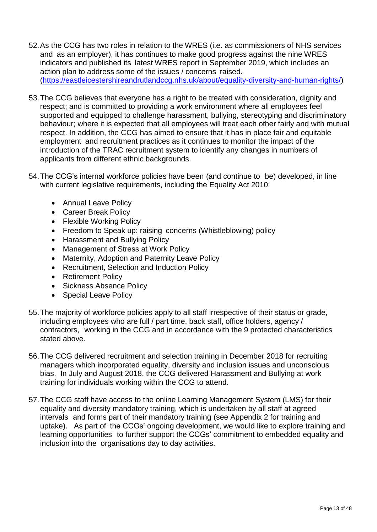- 52.As the CCG has two roles in relation to the WRES (i.e. as commissioners of NHS services and as an employer), it has continues to make good progress against the nine WRES indicators and published its latest WRES report in September 2019, which includes an action plan to address some of the issues / concerns raised. [\(https://eastleicestershireandrutlandccg.nhs.uk/about/equality-diversity-and-human-rights/\)](https://eastleicestershireandrutlandccg.nhs.uk/about/equality-diversity-and-human-rights/)
- 53.The CCG believes that everyone has a right to be treated with consideration, dignity and respect; and is committed to providing a work environment where all employees feel supported and equipped to challenge harassment, bullying, stereotyping and discriminatory behaviour; where it is expected that all employees will treat each other fairly and with mutual respect. In addition, the CCG has aimed to ensure that it has in place fair and equitable employment and recruitment practices as it continues to monitor the impact of the introduction of the TRAC recruitment system to identify any changes in numbers of applicants from different ethnic backgrounds.
- 54.The CCG's internal workforce policies have been (and continue to be) developed, in line with current legislative requirements, including the Equality Act 2010:
	- Annual Leave Policy
	- Career Break Policy
	- Flexible Working Policy
	- Freedom to Speak up: raising concerns (Whistleblowing) policy
	- Harassment and Bullying Policy
	- Management of Stress at Work Policy
	- Maternity, Adoption and Paternity Leave Policy
	- Recruitment, Selection and Induction Policy
	- Retirement Policy
	- Sickness Absence Policy
	- Special Leave Policy
- 55.The majority of workforce policies apply to all staff irrespective of their status or grade, including employees who are full / part time, back staff, office holders, agency / contractors, working in the CCG and in accordance with the 9 protected characteristics stated above.
- 56.The CCG delivered recruitment and selection training in December 2018 for recruiting managers which incorporated equality, diversity and inclusion issues and unconscious bias. In July and August 2018, the CCG delivered Harassment and Bullying at work training for individuals working within the CCG to attend.
- 57.The CCG staff have access to the online Learning Management System (LMS) for their equality and diversity mandatory training, which is undertaken by all staff at agreed intervals and forms part of their mandatory training (see Appendix 2 for training and uptake). As part of the CCGs' ongoing development, we would like to explore training and learning opportunities to further support the CCGs' commitment to embedded equality and inclusion into the organisations day to day activities.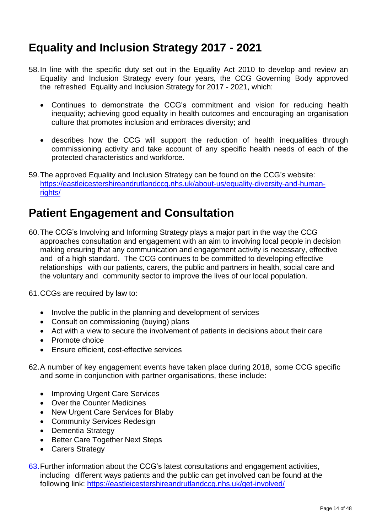# **Equality and Inclusion Strategy 2017 - 2021**

- 58.In line with the specific duty set out in the Equality Act 2010 to develop and review an Equality and Inclusion Strategy every four years, the CCG Governing Body approved the refreshed Equality and Inclusion Strategy for 2017 - 2021, which:
	- Continues to demonstrate the CCG's commitment and vision for reducing health inequality; achieving good equality in health outcomes and encouraging an organisation culture that promotes inclusion and embraces diversity; and
	- describes how the CCG will support the reduction of health inequalities through commissioning activity and take account of any specific health needs of each of the protected characteristics and workforce.
- 59.The approved Equality and Inclusion Strategy can be found on the CCG's website: [https://eastleicestershireandrutlandccg.nhs.uk/about-us/equality-diversity-and-human](https://eastleicestershireandrutlandccg.nhs.uk/about-us/equality-diversity-and-human-rights/)[rights/](https://eastleicestershireandrutlandccg.nhs.uk/about-us/equality-diversity-and-human-rights/)

### **Patient Engagement and Consultation**

- 60.The CCG's Involving and Informing Strategy plays a major part in the way the CCG approaches consultation and engagement with an aim to involving local people in decision making ensuring that any communication and engagement activity is necessary, effective and of a high standard. The CCG continues to be committed to developing effective relationships with our patients, carers, the public and partners in health, social care and the voluntary and community sector to improve the lives of our local population.
- 61.CCGs are required by law to:
	- Involve the public in the planning and development of services
	- Consult on commissioning (buying) plans
	- Act with a view to secure the involvement of patients in decisions about their care
	- Promote choice
	- Ensure efficient, cost-effective services
- 62.A number of key engagement events have taken place during 2018, some CCG specific and some in conjunction with partner organisations, these include:
	- Improving Urgent Care Services
	- Over the Counter Medicines
	- New Urgent Care Services for Blaby
	- Community Services Redesign
	- Dementia Strategy
	- Better Care Together Next Steps
	- Carers Strategy
- 63.Further information about the CCG's latest consultations and engagement activities, including different ways patients and the public can get involved can be found at the following link: <https://eastleicestershireandrutlandccg.nhs.uk/get-involved/>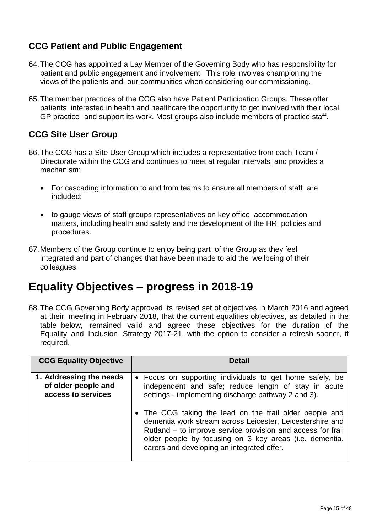### **CCG Patient and Public Engagement**

- 64.The CCG has appointed a Lay Member of the Governing Body who has responsibility for patient and public engagement and involvement. This role involves championing the views of the patients and our communities when considering our commissioning.
- 65.The member practices of the CCG also have Patient Participation Groups. These offer patients interested in health and healthcare the opportunity to get involved with their local GP practice and support its work. Most groups also include members of practice staff.

### **CCG Site User Group**

- 66.The CCG has a Site User Group which includes a representative from each Team / Directorate within the CCG and continues to meet at regular intervals; and provides a mechanism:
	- For cascading information to and from teams to ensure all members of staff are included;
	- to gauge views of staff groups representatives on key office accommodation matters, including health and safety and the development of the HR policies and procedures.
- 67.Members of the Group continue to enjoy being part of the Group as they feel integrated and part of changes that have been made to aid the wellbeing of their colleagues.

### **Equality Objectives – progress in 2018-19**

68.The CCG Governing Body approved its revised set of objectives in March 2016 and agreed at their meeting in February 2018, that the current equalities objectives, as detailed in the table below, remained valid and agreed these objectives for the duration of the Equality and Inclusion Strategy 2017-21, with the option to consider a refresh sooner, if required.

| <b>CCG Equality Objective</b>                                        | <b>Detail</b>                                                                                                                                                                                                                                                                                |
|----------------------------------------------------------------------|----------------------------------------------------------------------------------------------------------------------------------------------------------------------------------------------------------------------------------------------------------------------------------------------|
| 1. Addressing the needs<br>of older people and<br>access to services | • Focus on supporting individuals to get home safely, be<br>independent and safe; reduce length of stay in acute<br>settings - implementing discharge pathway 2 and 3).                                                                                                                      |
|                                                                      | • The CCG taking the lead on the frail older people and<br>dementia work stream across Leicester, Leicestershire and<br>Rutland - to improve service provision and access for frail<br>older people by focusing on 3 key areas (i.e. dementia,<br>carers and developing an integrated offer. |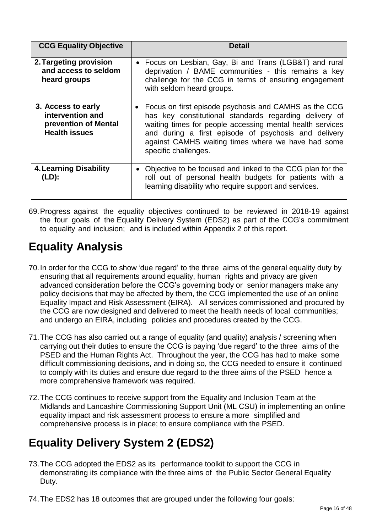| <b>CCG Equality Objective</b>                                                          | Detail                                                                                                                                                                                                                                                                                                             |
|----------------------------------------------------------------------------------------|--------------------------------------------------------------------------------------------------------------------------------------------------------------------------------------------------------------------------------------------------------------------------------------------------------------------|
| 2. Targeting provision<br>and access to seldom<br>heard groups                         | Focus on Lesbian, Gay, Bi and Trans (LGB&T) and rural<br>deprivation / BAME communities - this remains a key<br>challenge for the CCG in terms of ensuring engagement<br>with seldom heard groups.                                                                                                                 |
| 3. Access to early<br>intervention and<br>prevention of Mental<br><b>Health issues</b> | Focus on first episode psychosis and CAMHS as the CCG<br>has key constitutional standards regarding delivery of<br>waiting times for people accessing mental health services<br>and during a first episode of psychosis and delivery<br>against CAMHS waiting times where we have had some<br>specific challenges. |
| <b>4. Learning Disability</b><br>$(LD)$ :                                              | Objective to be focused and linked to the CCG plan for the<br>roll out of personal health budgets for patients with a<br>learning disability who require support and services.                                                                                                                                     |

69.Progress against the equality objectives continued to be reviewed in 2018-19 against the four goals of the Equality Delivery System (EDS2) as part of the CCG's commitment to equality and inclusion; and is included within Appendix 2 of this report.

# **Equality Analysis**

- 70.In order for the CCG to show 'due regard' to the three aims of the general equality duty by ensuring that all requirements around equality, human rights and privacy are given advanced consideration before the CCG's governing body or senior managers make any policy decisions that may be affected by them, the CCG implemented the use of an online Equality Impact and Risk Assessment (EIRA). All services commissioned and procured by the CCG are now designed and delivered to meet the health needs of local communities; and undergo an EIRA, including policies and procedures created by the CCG.
- 71.The CCG has also carried out a range of equality (and quality) analysis / screening when carrying out their duties to ensure the CCG is paying 'due regard' to the three aims of the PSED and the Human Rights Act. Throughout the year, the CCG has had to make some difficult commissioning decisions, and in doing so, the CCG needed to ensure it continued to comply with its duties and ensure due regard to the three aims of the PSED hence a more comprehensive framework was required.
- 72.The CCG continues to receive support from the Equality and Inclusion Team at the Midlands and Lancashire Commissioning Support Unit (ML CSU) in implementing an online equality impact and risk assessment process to ensure a more simplified and comprehensive process is in place; to ensure compliance with the PSED.

# **Equality Delivery System 2 (EDS2)**

- 73.The CCG adopted the EDS2 as its performance toolkit to support the CCG in demonstrating its compliance with the three aims of the Public Sector General Equality Duty.
- 74.The EDS2 has 18 outcomes that are grouped under the following four goals: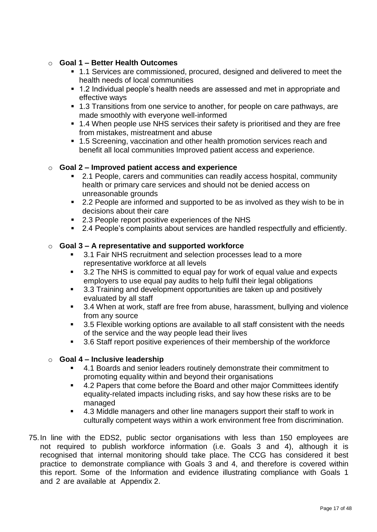#### o **Goal 1 – Better Health Outcomes**

- 1.1 Services are commissioned, procured, designed and delivered to meet the health needs of local communities
- 1.2 Individual people's health needs are assessed and met in appropriate and effective ways
- 1.3 Transitions from one service to another, for people on care pathways, are made smoothly with everyone well-informed
- 1.4 When people use NHS services their safety is prioritised and they are free from mistakes, mistreatment and abuse
- 1.5 Screening, vaccination and other health promotion services reach and benefit all local communities Improved patient access and experience.

#### o **Goal 2 – Improved patient access and experience**

- 2.1 People, carers and communities can readily access hospital, community health or primary care services and should not be denied access on unreasonable grounds
- 2.2 People are informed and supported to be as involved as they wish to be in decisions about their care
- 2.3 People report positive experiences of the NHS
- 2.4 People's complaints about services are handled respectfully and efficiently.

#### o **Goal 3 – A representative and supported workforce**

- 3.1 Fair NHS recruitment and selection processes lead to a more representative workforce at all levels
- 3.2 The NHS is committed to equal pay for work of equal value and expects employers to use equal pay audits to help fulfil their legal obligations
- 3.3 Training and development opportunities are taken up and positively evaluated by all staff
- 3.4 When at work, staff are free from abuse, harassment, bullying and violence from any source
- 3.5 Flexible working options are available to all staff consistent with the needs of the service and the way people lead their lives
- 3.6 Staff report positive experiences of their membership of the workforce

#### o **Goal 4 – Inclusive leadership**

- 4.1 Boards and senior leaders routinely demonstrate their commitment to promoting equality within and beyond their organisations
- 4.2 Papers that come before the Board and other major Committees identify equality-related impacts including risks, and say how these risks are to be managed
- 4.3 Middle managers and other line managers support their staff to work in culturally competent ways within a work environment free from discrimination.
- 75.In line with the EDS2, public sector organisations with less than 150 employees are not required to publish workforce information (i.e. Goals 3 and 4), although it is recognised that internal monitoring should take place. The CCG has considered it best practice to demonstrate compliance with Goals 3 and 4, and therefore is covered within this report. Some of the Information and evidence illustrating compliance with Goals 1 and 2 are available at Appendix 2.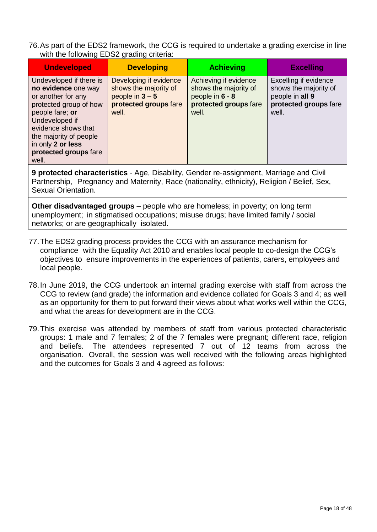76.As part of the EDS2 framework, the CCG is required to undertake a grading exercise in line with the following EDS2 grading criteria:

| <b>Undeveloped</b>                                                                                                                                                                                                                          | <b>Developing</b>                                                                                      | <b>Achieving</b>                                                                                    | <b>Excelling</b>                                                                                    |
|---------------------------------------------------------------------------------------------------------------------------------------------------------------------------------------------------------------------------------------------|--------------------------------------------------------------------------------------------------------|-----------------------------------------------------------------------------------------------------|-----------------------------------------------------------------------------------------------------|
| Undeveloped if there is<br>no evidence one way<br>or another for any<br>protected group of how<br>people fare; or<br>Undeveloped if<br>evidence shows that<br>the majority of people<br>in only 2 or less<br>protected groups fare<br>well. | Developing if evidence<br>shows the majority of<br>people in $3 - 5$<br>protected groups fare<br>well. | Achieving if evidence<br>shows the majority of<br>people in 6 - 8<br>protected groups fare<br>well. | Excelling if evidence<br>shows the majority of<br>people in all 9<br>protected groups fare<br>well. |

**9 protected characteristics** - Age, Disability, Gender re-assignment, Marriage and Civil Partnership, Pregnancy and Maternity, Race (nationality, ethnicity), Religion / Belief, Sex, Sexual Orientation.

**Other disadvantaged groups** – people who are homeless; in poverty; on long term unemployment; in stigmatised occupations; misuse drugs; have limited family / social networks; or are geographically isolated.

- 77.The EDS2 grading process provides the CCG with an assurance mechanism for compliance with the Equality Act 2010 and enables local people to co-design the CCG's objectives to ensure improvements in the experiences of patients, carers, employees and local people.
- 78.In June 2019, the CCG undertook an internal grading exercise with staff from across the CCG to review (and grade) the information and evidence collated for Goals 3 and 4; as well as an opportunity for them to put forward their views about what works well within the CCG, and what the areas for development are in the CCG.
- 79.This exercise was attended by members of staff from various protected characteristic groups: 1 male and 7 females; 2 of the 7 females were pregnant; different race, religion and beliefs. The attendees represented 7 out of 12 teams from across the organisation. Overall, the session was well received with the following areas highlighted and the outcomes for Goals 3 and 4 agreed as follows: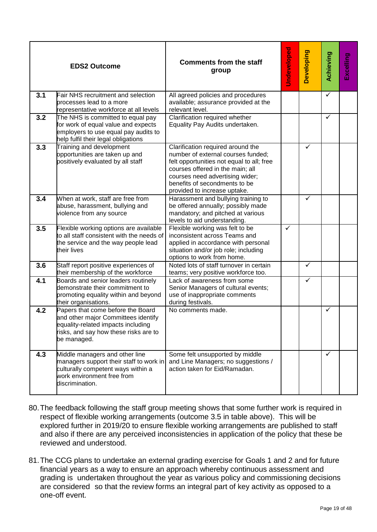|     | <b>EDS2 Outcome</b>                                                                                                                                                    | <b>Comments from the staff</b><br>group                                                                                                                                                                                                                      | Undeveloped | <b>Developing</b> | Achieving               | Excelling |
|-----|------------------------------------------------------------------------------------------------------------------------------------------------------------------------|--------------------------------------------------------------------------------------------------------------------------------------------------------------------------------------------------------------------------------------------------------------|-------------|-------------------|-------------------------|-----------|
| 3.1 | Fair NHS recruitment and selection<br>processes lead to a more<br>representative workforce at all levels                                                               | All agreed policies and procedures<br>available; assurance provided at the<br>relevant level.                                                                                                                                                                |             |                   | $\overline{\checkmark}$ |           |
| 3.2 | The NHS is committed to equal pay<br>for work of equal value and expects<br>employers to use equal pay audits to<br>help fulfil their legal obligations                | Clarification required whether<br>Equality Pay Audits undertaken.                                                                                                                                                                                            |             |                   | $\checkmark$            |           |
| 3.3 | Training and development<br>opportunities are taken up and<br>positively evaluated by all staff                                                                        | Clarification required around the<br>number of external courses funded;<br>felt opportunities not equal to all; free<br>courses offered in the main; all<br>courses need advertising wider;<br>benefits of secondments to be<br>provided to increase uptake. |             | ✓                 |                         |           |
| 3.4 | When at work, staff are free from<br>abuse, harassment, bullying and<br>violence from any source                                                                       | Harassment and bullying training to<br>be offered annually; possibly made<br>mandatory; and pitched at various<br>levels to aid understanding.                                                                                                               |             | ✓                 |                         |           |
| 3.5 | Flexible working options are available<br>o all staff consistent with the needs of<br>the service and the way people lead<br>their lives                               | Flexible working was felt to be<br>inconsistent across Teams and<br>applied in accordance with personal<br>situation and/or job role; including<br>options to work from home.                                                                                | ✓           |                   |                         |           |
| 3.6 | Staff report positive experiences of<br>their membership of the workforce                                                                                              | Noted lots of staff turnover in certain<br>teams; very positive workforce too.                                                                                                                                                                               |             | $\checkmark$      |                         |           |
| 4.1 | Boards and senior leaders routinely<br>demonstrate their commitment to<br>promoting equality within and beyond<br>their organisations.                                 | Lack of awareness from some<br>Senior Managers of cultural events;<br>use of inappropriate comments<br>during festivals.                                                                                                                                     |             | $\checkmark$      |                         |           |
| 4.2 | Papers that come before the Board<br>and other major Committees identify<br>equality-related impacts including<br>risks, and say how these risks are to<br>be managed. | No comments made.                                                                                                                                                                                                                                            |             |                   | $\checkmark$            |           |
| 4.3 | Middle managers and other line<br>managers support their staff to work in<br>culturally competent ways within a<br>work environment free from<br>discrimination.       | Some felt unsupported by middle<br>and Line Managers; no suggestions /<br>action taken for Eid/Ramadan.                                                                                                                                                      |             |                   | $\checkmark$            |           |

- 80.The feedback following the staff group meeting shows that some further work is required in respect of flexible working arrangements (outcome 3.5 in table above). This will be explored further in 2019/20 to ensure flexible working arrangements are published to staff and also if there are any perceived inconsistencies in application of the policy that these be reviewed and understood.
- 81.The CCG plans to undertake an external grading exercise for Goals 1 and 2 and for future financial years as a way to ensure an approach whereby continuous assessment and grading is undertaken throughout the year as various policy and commissioning decisions are considered so that the review forms an integral part of key activity as opposed to a one-off event.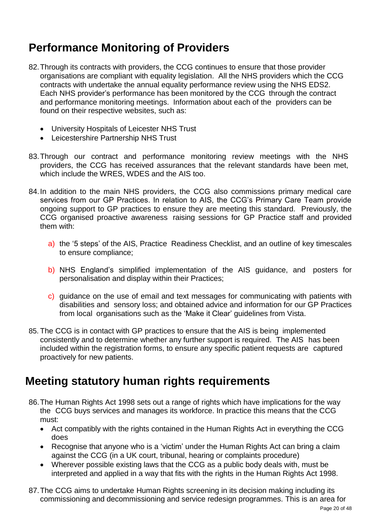# **Performance Monitoring of Providers**

- 82.Through its contracts with providers, the CCG continues to ensure that those provider organisations are compliant with equality legislation. All the NHS providers which the CCG contracts with undertake the annual equality performance review using the NHS EDS2. Each NHS provider's performance has been monitored by the CCG through the contract and performance monitoring meetings. Information about each of the providers can be found on their respective websites, such as:
	- University Hospitals of Leicester NHS Trust
	- Leicestershire Partnership NHS Trust
- 83.Through our contract and performance monitoring review meetings with the NHS providers, the CCG has received assurances that the relevant standards have been met, which include the WRES, WDES and the AIS too.
- 84.In addition to the main NHS providers, the CCG also commissions primary medical care services from our GP Practices. In relation to AIS, the CCG's Primary Care Team provide ongoing support to GP practices to ensure they are meeting this standard. Previously, the CCG organised proactive awareness raising sessions for GP Practice staff and provided them with:
	- a) the '5 steps' of the AIS, Practice Readiness Checklist, and an outline of key timescales to ensure compliance;
	- b) NHS England's simplified implementation of the AIS guidance, and posters for personalisation and display within their Practices;
	- c) guidance on the use of email and text messages for communicating with patients with disabilities and sensory loss; and obtained advice and information for our GP Practices from local organisations such as the 'Make it Clear' guidelines from Vista.
- 85. The CCG is in contact with GP practices to ensure that the AIS is being implemented consistently and to determine whether any further support is required. The AIS has been included within the registration forms, to ensure any specific patient requests are captured proactively for new patients.

### **Meeting statutory human rights requirements**

- 86.The Human Rights Act 1998 sets out a range of rights which have implications for the way the CCG buys services and manages its workforce. In practice this means that the CCG must:
	- Act compatibly with the rights contained in the Human Rights Act in everything the CCG does
	- Recognise that anyone who is a 'victim' under the Human Rights Act can bring a claim against the CCG (in a UK court, tribunal, hearing or complaints procedure)
	- Wherever possible existing laws that the CCG as a public body deals with, must be interpreted and applied in a way that fits with the rights in the Human Rights Act 1998.
- 87.The CCG aims to undertake Human Rights screening in its decision making including its commissioning and decommissioning and service redesign programmes. This is an area for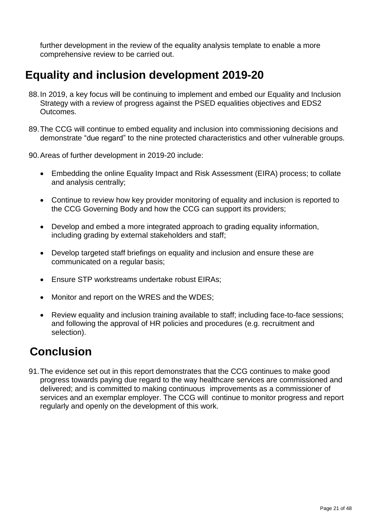further development in the review of the equality analysis template to enable a more comprehensive review to be carried out.

### **Equality and inclusion development 2019-20**

- 88.In 2019, a key focus will be continuing to implement and embed our Equality and Inclusion Strategy with a review of progress against the PSED equalities objectives and EDS2 Outcomes.
- 89.The CCG will continue to embed equality and inclusion into commissioning decisions and demonstrate "due regard" to the nine protected characteristics and other vulnerable groups.
- 90.Areas of further development in 2019-20 include:
	- Embedding the online Equality Impact and Risk Assessment (EIRA) process; to collate and analysis centrally;
	- Continue to review how key provider monitoring of equality and inclusion is reported to the CCG Governing Body and how the CCG can support its providers;
	- Develop and embed a more integrated approach to grading equality information, including grading by external stakeholders and staff;
	- Develop targeted staff briefings on equality and inclusion and ensure these are communicated on a regular basis;
	- Ensure STP workstreams undertake robust EIRAs;
	- Monitor and report on the WRES and the WDES;
	- Review equality and inclusion training available to staff; including face-to-face sessions; and following the approval of HR policies and procedures (e.g. recruitment and selection).

# **Conclusion**

91.The evidence set out in this report demonstrates that the CCG continues to make good progress towards paying due regard to the way healthcare services are commissioned and delivered; and is committed to making continuous improvements as a commissioner of services and an exemplar employer. The CCG will continue to monitor progress and report regularly and openly on the development of this work.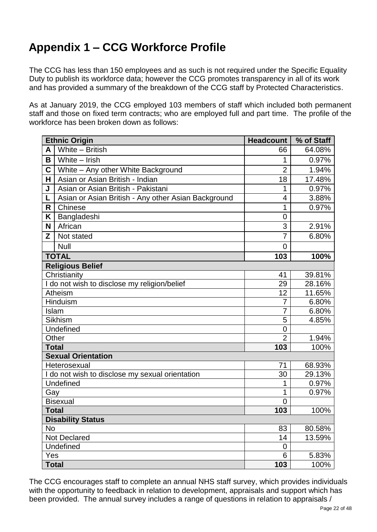# **Appendix 1 – CCG Workforce Profile**

The CCG has less than 150 employees and as such is not required under the Specific Equality Duty to publish its workforce data; however the CCG promotes transparency in all of its work and has provided a summary of the breakdown of the CCG staff by Protected Characteristics.

As at January 2019, the CCG employed 103 members of staff which included both permanent staff and those on fixed term contracts; who are employed full and part time. The profile of the workforce has been broken down as follows:

|              | <b>Ethnic Origin</b>                                | <b>Headcount</b> | % of Staff |
|--------------|-----------------------------------------------------|------------------|------------|
| A            | White - British                                     | 66               | 64.08%     |
| B            | White - Irish                                       | 1                | 0.97%      |
| C            | White - Any other White Background                  | $\overline{2}$   | 1.94%      |
| н            | Asian or Asian British - Indian                     | 18               | 17.48%     |
| J            | Asian or Asian British - Pakistani                  | 1                | 0.97%      |
| L            | Asian or Asian British - Any other Asian Background | 4                | 3.88%      |
| R            | Chinese                                             | 1                | 0.97%      |
| Κ            | Bangladeshi                                         | $\overline{0}$   |            |
| N            | African                                             | 3                | 2.91%      |
| Z            | Not stated                                          | 7                | 6.80%      |
|              | <b>Null</b>                                         | $\Omega$         |            |
|              | <b>TOTAL</b>                                        | 103              | 100%       |
|              | <b>Religious Belief</b>                             |                  |            |
|              | Christianity                                        | 41               | 39.81%     |
|              | I do not wish to disclose my religion/belief        | 29               | 28.16%     |
|              | <b>Atheism</b>                                      | 12               | 11.65%     |
|              | Hinduism                                            | 7                | 6.80%      |
| Islam        |                                                     | 7                | 6.80%      |
|              | <b>Sikhism</b>                                      | 5                | 4.85%      |
|              | Undefined                                           | 0                |            |
| Other        |                                                     | $\overline{2}$   | 1.94%      |
| <b>Total</b> |                                                     | 103              | 100%       |
|              | <b>Sexual Orientation</b>                           |                  |            |
|              | Heterosexual                                        | 71               | 68.93%     |
|              | I do not wish to disclose my sexual orientation     | 30               | 29.13%     |
|              | Undefined                                           | 1                | 0.97%      |
| Gay          |                                                     | 1                | 0.97%      |
|              | <b>Bisexual</b>                                     | 0                |            |
| <b>Total</b> |                                                     | 103              | 100%       |
| No           | <b>Disability Status</b>                            | 83               | 80.58%     |
|              | Not Declared                                        | 14               | 13.59%     |
|              | Undefined                                           | $\overline{0}$   |            |
| Yes          |                                                     | 6                | 5.83%      |
| <b>Total</b> |                                                     | 103              | 100%       |

The CCG encourages staff to complete an annual NHS staff survey, which provides individuals with the opportunity to feedback in relation to development, appraisals and support which has been provided. The annual survey includes a range of questions in relation to appraisals /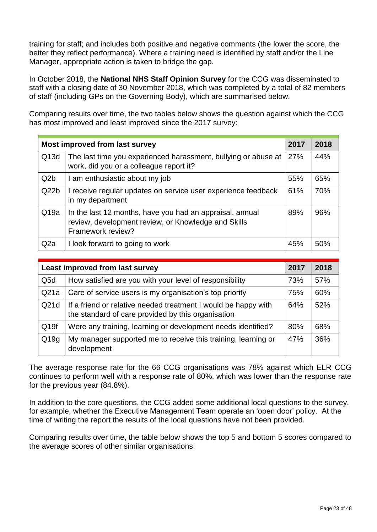training for staff; and includes both positive and negative comments (the lower the score, the better they reflect performance). Where a training need is identified by staff and/or the Line Manager, appropriate action is taken to bridge the gap.

In October 2018, the **National NHS Staff Opinion Survey** for the CCG was disseminated to staff with a closing date of 30 November 2018, which was completed by a total of 82 members of staff (including GPs on the Governing Body), which are summarised below.

Comparing results over time, the two tables below shows the question against which the CCG has most improved and least improved since the 2017 survey:

| Most improved from last survey |                                                                                                                                      |     | 2018 |
|--------------------------------|--------------------------------------------------------------------------------------------------------------------------------------|-----|------|
| Q <sub>13</sub> d              | The last time you experienced harassment, bullying or abuse at<br>work, did you or a colleague report it?                            | 27% | 44%  |
| Q <sub>2</sub> b               | I am enthusiastic about my job                                                                                                       | 55% | 65%  |
| Q22b                           | I receive regular updates on service user experience feedback<br>in my department                                                    | 61% | 70%  |
| Q19a                           | In the last 12 months, have you had an appraisal, annual<br>review, development review, or Knowledge and Skills<br>Framework review? | 89% | 96%  |
| Q <sub>2</sub> a               | I look forward to going to work                                                                                                      | 45% | 50%  |

| Least improved from last survey |                                                                                                                      |     | 2018 |
|---------------------------------|----------------------------------------------------------------------------------------------------------------------|-----|------|
| Q <sub>5</sub> d                | How satisfied are you with your level of responsibility                                                              | 73% | 57%  |
| Q21a                            | Care of service users is my organisation's top priority                                                              | 75% | 60%  |
| Q21d                            | If a friend or relative needed treatment I would be happy with<br>the standard of care provided by this organisation | 64% | 52%  |
| Q <sub>19f</sub>                | Were any training, learning or development needs identified?                                                         | 80% | 68%  |
| Q19q                            | My manager supported me to receive this training, learning or<br>development                                         | 47% | 36%  |

The average response rate for the 66 CCG organisations was 78% against which ELR CCG continues to perform well with a response rate of 80%, which was lower than the response rate for the previous year (84.8%).

In addition to the core questions, the CCG added some additional local questions to the survey, for example, whether the Executive Management Team operate an 'open door' policy. At the time of writing the report the results of the local questions have not been provided.

Comparing results over time, the table below shows the top 5 and bottom 5 scores compared to the average scores of other similar organisations: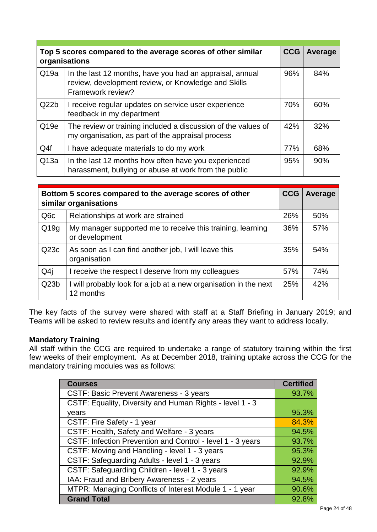| Top 5 scores compared to the average scores of other similar<br>organisations |                                                                                                                                      |     | Average |
|-------------------------------------------------------------------------------|--------------------------------------------------------------------------------------------------------------------------------------|-----|---------|
| Q19a                                                                          | In the last 12 months, have you had an appraisal, annual<br>review, development review, or Knowledge and Skills<br>Framework review? | 96% | 84%     |
| Q22b                                                                          | I receive regular updates on service user experience<br>feedback in my department                                                    | 70% | 60%     |
| Q <sub>19e</sub>                                                              | The review or training included a discussion of the values of<br>my organisation, as part of the appraisal process                   | 42% | 32%     |
| Q4f                                                                           | I have adequate materials to do my work                                                                                              | 77% | 68%     |
| Q13a                                                                          | In the last 12 months how often have you experienced<br>harassment, bullying or abuse at work from the public                        | 95% | 90%     |

|                  | Bottom 5 scores compared to the average scores of other<br>similar organisations |     |     |
|------------------|----------------------------------------------------------------------------------|-----|-----|
| Q <sub>6</sub> c | Relationships at work are strained                                               | 26% | 50% |
| Q19q             | My manager supported me to receive this training, learning<br>or development     | 36% | 57% |
| Q <sub>23c</sub> | As soon as I can find another job, I will leave this<br>organisation             | 35% | 54% |
| Q4j              | I receive the respect I deserve from my colleagues                               | 57% | 74% |
| Q23b             | I will probably look for a job at a new organisation in the next<br>12 months    | 25% | 42% |

The key facts of the survey were shared with staff at a Staff Briefing in January 2019; and Teams will be asked to review results and identify any areas they want to address locally.

### **Mandatory Training**

All staff within the CCG are required to undertake a range of statutory training within the first few weeks of their employment. As at December 2018, training uptake across the CCG for the mandatory training modules was as follows:

| <b>Courses</b>                                             | <b>Certified</b> |
|------------------------------------------------------------|------------------|
| <b>CSTF: Basic Prevent Awareness - 3 years</b>             | 93.7%            |
| CSTF: Equality, Diversity and Human Rights - level 1 - 3   |                  |
| years                                                      | 95.3%            |
| CSTF: Fire Safety - 1 year                                 | 84.3%            |
| CSTF: Health, Safety and Welfare - 3 years                 | 94.5%            |
| CSTF: Infection Prevention and Control - level 1 - 3 years | 93.7%            |
| CSTF: Moving and Handling - level 1 - 3 years              | 95.3%            |
| CSTF: Safeguarding Adults - level 1 - 3 years              | 92.9%            |
| CSTF: Safeguarding Children - level 1 - 3 years            | 92.9%            |
| IAA: Fraud and Bribery Awareness - 2 years                 | 94.5%            |
| MTPR: Managing Conflicts of Interest Module 1 - 1 year     | 90.6%            |
| <b>Grand Total</b>                                         | 92.8%            |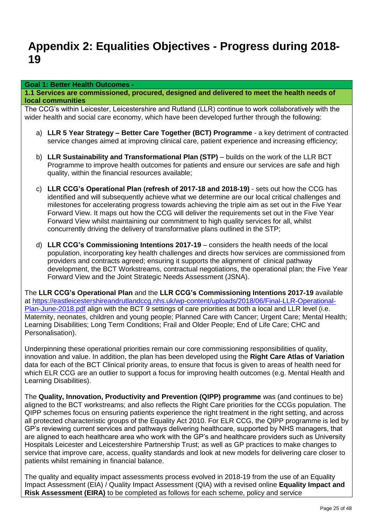### **Appendix 2: Equalities Objectives - Progress during 2018- 19**

#### **Goal 1: Better Health Outcomes -**

**1.1 Services are commissioned, procured, designed and delivered to meet the health needs of local communities**

The CCG's within Leicester, Leicestershire and Rutland (LLR) continue to work collaboratively with the wider health and social care economy, which have been developed further through the following:

- a) **LLR 5 Year Strategy – Better Care Together (BCT) Programme**  a key detriment of contracted service changes aimed at improving clinical care, patient experience and increasing efficiency;
- b) **LLR Sustainability and Transformational Plan (STP)** builds on the work of the LLR BCT Programme to improve health outcomes for patients and ensure our services are safe and high quality, within the financial resources available;
- c) **LLR CCG's Operational Plan (refresh of 2017-18 and 2018-19)** sets out how the CCG has identified and will subsequently achieve what we determine are our local critical challenges and milestones for accelerating progress towards achieving the triple aim as set out in the Five Year Forward View. It maps out how the CCG will deliver the requirements set out in the Five Year Forward View whilst maintaining our commitment to high quality services for all, whilst concurrently driving the delivery of transformative plans outlined in the STP;
- d) **LLR CCG's Commissioning Intentions 2017-19** considers the health needs of the local population, incorporating key health challenges and directs how services are commissioned from providers and contracts agreed; ensuring it supports the alignment of clinical pathway development, the BCT Workstreams, contractual negotiations, the operational plan; the Five Year Forward View and the Joint Strategic Needs Assessment (JSNA).

The **LLR CCG's Operational Plan** and the **LLR CCG's Commissioning Intentions 2017-19** available at [https://eastleicestershireandrutlandccg.nhs.uk/wp-content/uploads/2018/06/Final-LLR-Operational-](https://eastleicestershireandrutlandccg.nhs.uk/wp-content/uploads/2018/06/Final-LLR-Operational-Plan-June-2018.pdf)[Plan-June-2018.pdf](https://eastleicestershireandrutlandccg.nhs.uk/wp-content/uploads/2018/06/Final-LLR-Operational-Plan-June-2018.pdf) align with the BCT 9 settings of care priorities at both a local and LLR level (i.e. Maternity, neonates, children and young people; Planned Care with Cancer; Urgent Care; Mental Health; Learning Disabilities; Long Term Conditions; Frail and Older People; End of Life Care; CHC and Personalisation).

Underpinning these operational priorities remain our core commissioning responsibilities of quality, innovation and value. In addition, the plan has been developed using the **Right Care Atlas of Variation**  data for each of the BCT Clinical priority areas, to ensure that focus is given to areas of health need for which ELR CCG are an outlier to support a focus for improving health outcomes (e.g. Mental Health and Learning Disabilities).

The **Quality, Innovation, Productivity and Prevention (QIPP) programme** was (and continues to be) aligned to the BCT workstreams; and also reflects the Right Care priorities for the CCGs population. The QIPP schemes focus on ensuring patients experience the right treatment in the right setting, and across all protected characteristic groups of the Equality Act 2010. For ELR CCG, the QIPP programme is led by GP's reviewing current services and pathways delivering healthcare, supported by NHS managers, that are aligned to each healthcare area who work with the GP's and healthcare providers such as University Hospitals Leicester and Leicestershire Partnership Trust; as well as GP practices to make changes to service that improve care, access, quality standards and look at new models for delivering care closer to patients whilst remaining in financial balance.

The quality and equality impact assessments process evolved in 2018-19 from the use of an Equality Impact Assessment (EIA) / Quality Impact Assessment (QIA) with a revised online **Equality Impact and Risk Assessment (EIRA)** to be completed as follows for each scheme, policy and service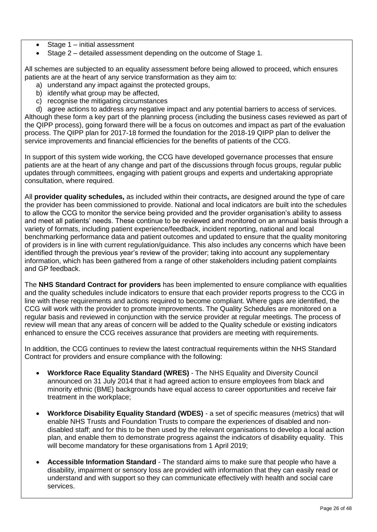- Stage 1 initial assessment
- Stage 2 detailed assessment depending on the outcome of Stage 1.

All schemes are subjected to an equality assessment before being allowed to proceed, which ensures patients are at the heart of any service transformation as they aim to:

- a) understand any impact against the protected groups,
- b) identify what group may be affected,
- c) recognise the mitigating circumstances

d) agree actions to address any negative impact and any potential barriers to access of services. Although these form a key part of the planning process (including the business cases reviewed as part of the QIPP process), going forward there will be a focus on outcomes and impact as part of the evaluation process. The QIPP plan for 2017-18 formed the foundation for the 2018-19 QIPP plan to deliver the service improvements and financial efficiencies for the benefits of patients of the CCG.

In support of this system wide working, the CCG have developed governance processes that ensure patients are at the heart of any change and part of the discussions through focus groups, regular public updates through committees, engaging with patient groups and experts and undertaking appropriate consultation, where required.

All **provider quality schedules,** as included within their contracts**,** are designed around the type of care the provider has been commissioned to provide. National and local indicators are built into the schedules to allow the CCG to monitor the service being provided and the provider organisation's ability to assess and meet all patients' needs. These continue to be reviewed and monitored on an annual basis through a variety of formats, including patient experience/feedback, incident reporting, national and local benchmarking performance data and patient outcomes and updated to ensure that the quality monitoring of providers is in line with current regulation/guidance. This also includes any concerns which have been identified through the previous year's review of the provider; taking into account any supplementary information, which has been gathered from a range of other stakeholders including patient complaints and GP feedback.

The **NHS Standard Contract for providers** has been implemented to ensure compliance with equalities and the quality schedules include indicators to ensure that each provider reports progress to the CCG in line with these requirements and actions required to become compliant. Where gaps are identified, the CCG will work with the provider to promote improvements. The Quality Schedules are monitored on a regular basis and reviewed in conjunction with the service provider at regular meetings. The process of review will mean that any areas of concern will be added to the Quality schedule or existing indicators enhanced to ensure the CCG receives assurance that providers are meeting with requirements.

In addition, the CCG continues to review the latest contractual requirements within the NHS Standard Contract for providers and ensure compliance with the following:

- **Workforce Race Equality Standard (WRES)**  The NHS Equality and Diversity Council announced on 31 July 2014 that it had agreed action to ensure employees from black and minority ethnic (BME) backgrounds have equal access to career opportunities and receive fair treatment in the workplace;
- **Workforce Disability Equality Standard (WDES)**  a set of specific measures (metrics) that will enable NHS Trusts and Foundation Trusts to compare the experiences of disabled and nondisabled staff; and for this to be then used by the relevant organisations to develop a local action plan, and enable them to demonstrate progress against the indicators of disability equality. This will become mandatory for these organisations from 1 April 2019;
- **Accessible Information Standard**  The standard aims to make sure that people who have a disability, impairment or sensory loss are provided with information that they can easily read or understand and with support so they can communicate effectively with health and social care services.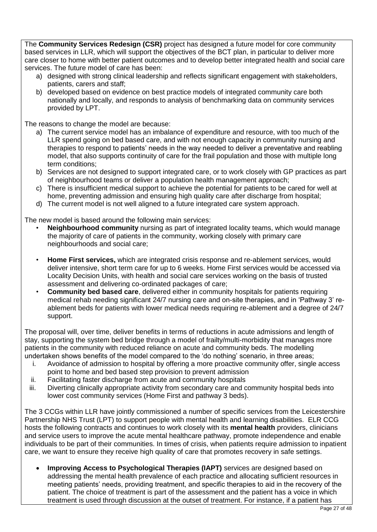The **Community Services Redesign (CSR)** project has designed a future model for core community based services in LLR, which will support the objectives of the BCT plan, in particular to deliver more care closer to home with better patient outcomes and to develop better integrated health and social care services. The future model of care has been:

- a) designed with strong clinical leadership and reflects significant engagement with stakeholders, patients, carers and staff;
- b) developed based on evidence on best practice models of integrated community care both nationally and locally, and responds to analysis of benchmarking data on community services provided by LPT.

The reasons to change the model are because:

- a) The current service model has an imbalance of expenditure and resource, with too much of the LLR spend going on bed based care, and with not enough capacity in community nursing and therapies to respond to patients' needs in the way needed to deliver a preventative and reabling model, that also supports continuity of care for the frail population and those with multiple long term conditions;
- b) Services are not designed to support integrated care, or to work closely with GP practices as part of neighbourhood teams or deliver a population health management approach;
- c) There is insufficient medical support to achieve the potential for patients to be cared for well at home, preventing admission and ensuring high quality care after discharge from hospital;
- d) The current model is not well aligned to a future integrated care system approach.

The new model is based around the following main services:

- **Neighbourhood community** nursing as part of integrated locality teams, which would manage the majority of care of patients in the community, working closely with primary care neighbourhoods and social care;
- **Home First services,** which are integrated crisis response and re-ablement services, would deliver intensive, short term care for up to 6 weeks. Home First services would be accessed via Locality Decision Units, with health and social care services working on the basis of trusted assessment and delivering co-ordinated packages of care;
- **Community bed based care**, delivered either in community hospitals for patients requiring medical rehab needing significant 24/7 nursing care and on-site therapies, and in 'Pathway 3' reablement beds for patients with lower medical needs requiring re-ablement and a degree of 24/7 support.

The proposal will, over time, deliver benefits in terms of reductions in acute admissions and length of stay, supporting the system bed bridge through a model of frailty/multi-morbidity that manages more patients in the community with reduced reliance on acute and community beds. The modelling undertaken shows benefits of the model compared to the 'do nothing' scenario, in three areas;

- i. Avoidance of admission to hospital by offering a more proactive community offer, single access point to home and bed based step provision to prevent admission
- ii. Facilitating faster discharge from acute and community hospitals
- iii. Diverting clinically appropriate activity from secondary care and community hospital beds into lower cost community services (Home First and pathway 3 beds).

The 3 CCGs within LLR have jointly commissioned a number of specific services from the Leicestershire Partnership NHS Trust (LPT) to support people with mental health and learning disabilities. ELR CCG hosts the following contracts and continues to work closely with its **mental health** providers, clinicians and service users to improve the acute mental healthcare pathway, promote independence and enable individuals to be part of their communities. In times of crisis, when patients require admission to inpatient care, we want to ensure they receive high quality of care that promotes recovery in safe settings.

 **Improving Access to Psychological Therapies (IAPT)** services are designed based on addressing the mental health prevalence of each practice and allocating sufficient resources in meeting patients' needs, providing treatment, and specific therapies to aid in the recovery of the patient. The choice of treatment is part of the assessment and the patient has a voice in which treatment is used through discussion at the outset of treatment. For instance, if a patient has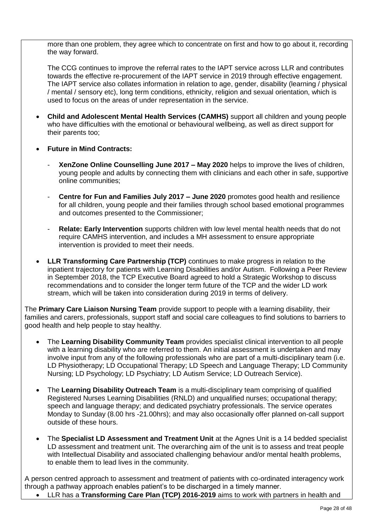more than one problem, they agree which to concentrate on first and how to go about it, recording the way forward.

The CCG continues to improve the referral rates to the IAPT service across LLR and contributes towards the effective re-procurement of the IAPT service in 2019 through effective engagement. The IAPT service also collates information in relation to age, gender, disability (learning / physical / mental / sensory etc), long term conditions, ethnicity, religion and sexual orientation, which is used to focus on the areas of under representation in the service.

- **Child and Adolescent Mental Health Services (CAMHS)** support all children and young people who have difficulties with the emotional or behavioural wellbeing, as well as direct support for their parents too;
- **Future in Mind Contracts:**
	- **XenZone Online Counselling June 2017 – May 2020** helps to improve the lives of children, young people and adults by connecting them with clinicians and each other in safe, supportive online communities;
	- **Centre for Fun and Families July 2017 – June 2020** promotes good health and resilience for all children, young people and their families through school based emotional programmes and outcomes presented to the Commissioner;
	- **Relate: Early Intervention** supports children with low level mental health needs that do not require CAMHS intervention, and includes a MH assessment to ensure appropriate intervention is provided to meet their needs.
- **LLR Transforming Care Partnership (TCP)** continues to make progress in relation to the inpatient trajectory for patients with Learning Disabilities and/or Autism. Following a Peer Review in September 2018, the TCP Executive Board agreed to hold a Strategic Workshop to discuss recommendations and to consider the longer term future of the TCP and the wider LD work stream, which will be taken into consideration during 2019 in terms of delivery.

The **Primary Care Liaison Nursing Team** provide support to people with a learning disability, their families and carers, professionals, support staff and social care colleagues to find solutions to barriers to good health and help people to stay healthy.

- The **Learning Disability Community Team** provides specialist clinical intervention to all people with a learning disability who are referred to them. An initial assessment is undertaken and may involve input from any of the following professionals who are part of a multi-disciplinary team (i.e. LD Physiotherapy; LD Occupational Therapy; LD Speech and Language Therapy; LD Community Nursing; LD Psychology; LD Psychiatry; LD Autism Service; LD Outreach Service).
- The **Learning Disability Outreach Team** is a multi-disciplinary team comprising of qualified Registered Nurses Learning Disabilities (RNLD) and unqualified nurses; occupational therapy; speech and language therapy; and dedicated psychiatry professionals. The service operates Monday to Sunday (8.00 hrs -21.00hrs); and may also occasionally offer planned on-call support outside of these hours.
- The **Specialist LD Assessment and Treatment Unit** at the Agnes Unit is a 14 bedded specialist LD assessment and treatment unit. The overarching aim of the unit is to assess and treat people with Intellectual Disability and associated challenging behaviour and/or mental health problems, to enable them to lead lives in the community.

A person centred approach to assessment and treatment of patients with co-ordinated interagency work through a pathway approach enables patient's to be discharged in a timely manner.

LLR has a **Transforming Care Plan (TCP) 2016-2019** aims to work with partners in health and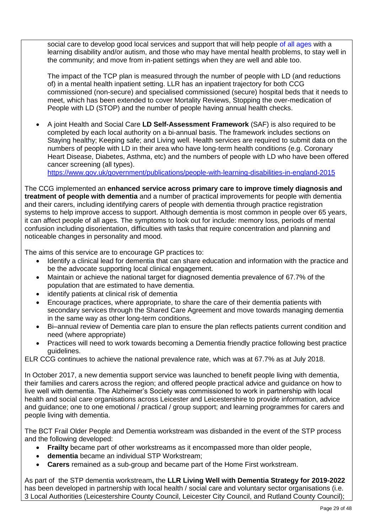social care to develop good local services and support that will help people of all ages with a learning disability and/or autism, and those who may have mental health problems, to stay well in the community; and move from in-patient settings when they are well and able too.

The impact of the TCP plan is measured through the number of people with LD (and reductions of) in a mental health inpatient setting. LLR has an inpatient trajectory for both CCG commissioned (non-secure) and specialised commissioned (secure) hospital beds that it needs to meet, which has been extended to cover Mortality Reviews, Stopping the over-medication of People with LD (STOP) and the number of people having annual health checks.

 A joint Health and Social Care **LD Self-Assessment Framework** (SAF) is also required to be completed by each local authority on a bi-annual basis. The framework includes sections on Staying healthy; Keeping safe; and Living well. Health services are required to submit data on the numbers of people with LD in their area who have long-term health conditions (e.g. Coronary Heart Disease, Diabetes, Asthma, etc) and the numbers of people with LD who have been offered cancer screening (all types).

<https://www.gov.uk/government/publications/people-with-learning-disabilities-in-england-2015>

The CCG implemented an **enhanced service across primary care to improve timely diagnosis and treatment of people with dementia** and a number of practical improvements for people with dementia and their carers, including identifying carers of people with dementia through practice registration systems to help improve access to support. Although dementia is most common in people over 65 years, it can affect people of all ages. The symptoms to look out for include: memory loss, periods of mental confusion including disorientation, difficulties with tasks that require concentration and planning and noticeable changes in personality and mood.

The aims of this service are to encourage GP practices to:

- Identify a clinical lead for dementia that can share education and information with the practice and be the advocate supporting local clinical engagement.
- Maintain or achieve the national target for diagnosed dementia prevalence of 67.7% of the population that are estimated to have dementia.
- identify patients at clinical risk of dementia
- Encourage practices, where appropriate, to share the care of their dementia patients with secondary services through the Shared Care Agreement and move towards managing dementia in the same way as other long-term conditions.
- Bi–annual review of Dementia care plan to ensure the plan reflects patients current condition and need (where appropriate)
- Practices will need to work towards becoming a Dementia friendly practice following best practice guidelines.

ELR CCG continues to achieve the national prevalence rate, which was at 67.7% as at July 2018.

In October 2017, a new dementia support service was launched to benefit people living with dementia, their families and carers across the region; and offered people practical advice and guidance on how to live well with dementia. The Alzheimer's Society was commissioned to work in partnership with local health and social care organisations across Leicester and Leicestershire to provide information, advice and guidance; one to one emotional / practical / group support; and learning programmes for carers and people living with dementia.

The BCT Frail Older People and Dementia workstream was disbanded in the event of the STP process and the following developed:

- **Frailty** became part of other workstreams as it encompassed more than older people,
- **dementia** became an individual STP Workstream;
- **Carers** remained as a sub-group and became part of the Home First workstream.

As part of the STP dementia workstream**,** the **LLR Living Well with Dementia Strategy for 2019-2022** has been developed in partnership with local health / social care and voluntary sector organisations (i.e. 3 Local Authorities (Leicestershire County Council, Leicester City Council, and Rutland County Council);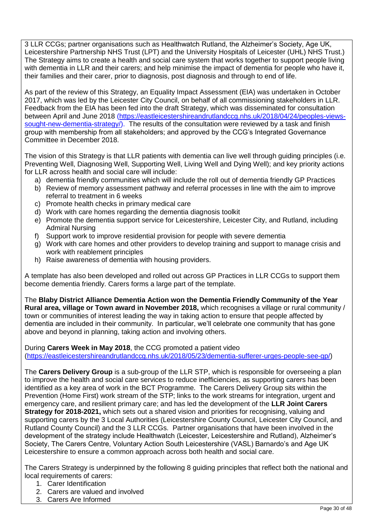3 LLR CCGs; partner organisations such as Healthwatch Rutland, the Alzheimer's Society, Age UK, Leicestershire Partnership NHS Trust (LPT) and the University Hospitals of Leicester (UHL) NHS Trust.) The Strategy aims to create a health and social care system that works together to support people living with dementia in LLR and their carers; and help minimise the impact of dementia for people who have it, their families and their carer, prior to diagnosis, post diagnosis and through to end of life.

As part of the review of this Strategy, an Equality Impact Assessment (EIA) was undertaken in October 2017, which was led by the Leicester City Council, on behalf of all commissioning stakeholders in LLR. Feedback from the EIA has been fed into the draft Strategy, which was disseminated for consultation between April and June 2018 [\(https://eastleicestershireandrutlandccg.nhs.uk/2018/04/24/peoples-views](https://eastleicestershireandrutlandccg.nhs.uk/2018/04/24/peoples-views-sought-new-dementia-strategy/)[sought-new-dementia-strategy/\)](https://eastleicestershireandrutlandccg.nhs.uk/2018/04/24/peoples-views-sought-new-dementia-strategy/). The results of the consultation were reviewed by a task and finish group with membership from all stakeholders; and approved by the CCG's Integrated Governance Committee in December 2018.

The vision of this Strategy is that LLR patients with dementia can live well through guiding principles (i.e. Preventing Well, Diagnosing Well, Supporting Well, Living Well and Dying Well); and key priority actions for LLR across health and social care will include:

- a) dementia friendly communities which will include the roll out of dementia friendly GP Practices
- b) Review of memory assessment pathway and referral processes in line with the aim to improve referral to treatment in 6 weeks
- c) Promote health checks in primary medical care
- d) Work with care homes regarding the dementia diagnosis toolkit
- e) Promote the dementia support service for Leicestershire, Leicester City, and Rutland, including Admiral Nursing
- f) Support work to improve residential provision for people with severe dementia
- g) Work with care homes and other providers to develop training and support to manage crisis and work with reablement principles
- h) Raise awareness of dementia with housing providers.

A template has also been developed and rolled out across GP Practices in LLR CCGs to support them become dementia friendly. Carers forms a large part of the template.

The **Blaby District Alliance Dementia Action won the Dementia Friendly Community of the Year Rural area, village or Town award in November 2018,** which recognises a village or rural community / town or communities of interest leading the way in taking action to ensure that people affected by dementia are included in their community. In particular, we'll celebrate one community that has gone above and beyond in planning, taking action and involving others.

During **Carers Week in May 2018**, the CCG promoted a patient video [\(https://eastleicestershireandrutlandccg.nhs.uk/2018/05/23/dementia-sufferer-urges-people-see-gp/\)](https://eastleicestershireandrutlandccg.nhs.uk/2018/05/23/dementia-sufferer-urges-people-see-gp/)

The **Carers Delivery Group** is a sub-group of the LLR STP, which is responsible for overseeing a plan to improve the health and social care services to reduce inefficiencies, as supporting carers has been identified as a key area of work in the BCT Programme. The Carers Delivery Group sits within the Prevention (Home First) work stream of the STP; links to the work streams for integration, urgent and emergency care, and resilient primary care; and has led the development of the **LLR Joint Carers Strategy for 2018-2021,** which sets out a shared vision and priorities for recognising, valuing and supporting carers by the 3 Local Authorities (Leicestershire County Council, Leicester City Council, and Rutland County Council) and the 3 LLR CCGs. Partner organisations that have been involved in the development of the strategy include Healthwatch (Leicester, Leicestershire and Rutland), Alzheimer's Society, The Carers Centre, Voluntary Action South Leicestershire (VASL) Barnardo's and Age UK Leicestershire to ensure a common approach across both health and social care.

The Carers Strategy is underpinned by the following 8 guiding principles that reflect both the national and local requirements of carers:

- 1. Carer Identification
- 2. Carers are valued and involved
- 3. Carers Are Informed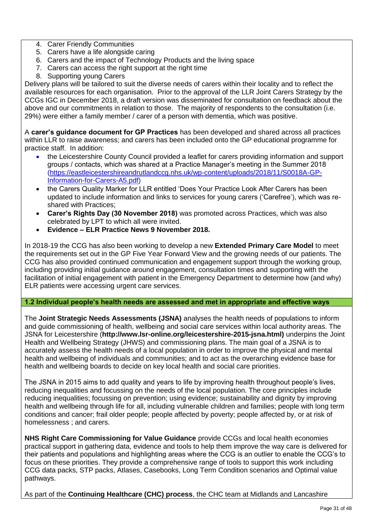- 4. Carer Friendly Communities
- 5. Carers have a life alongside caring
- 6. Carers and the impact of Technology Products and the living space
- 7. Carers can access the right support at the right time
- 8. Supporting young Carers

Delivery plans will be tailored to suit the diverse needs of carers within their locality and to reflect the available resources for each organisation. Prior to the approval of the LLR Joint Carers Strategy by the CCGs IGC in December 2018, a draft version was disseminated for consultation on feedback about the above and our commitments in relation to those. The majority of respondents to the consultation (i.e. 29%) were either a family member / carer of a person with dementia, which was positive.

A **carer's guidance document for GP Practices** has been developed and shared across all practices within LLR to raise awareness; and carers has been included onto the GP educational programme for practice staff. In addition:

- the Leicestershire County Council provided a leaflet for carers providing information and support groups / contacts, which was shared at a Practice Manager's meeting in the Summer 2018 [\(https://eastleicestershireandrutlandccg.nhs.uk/wp-content/uploads/2018/11/S0018A-GP-](https://eastleicestershireandrutlandccg.nhs.uk/wp-content/uploads/2018/11/S0018A-GP-Information-for-Carers-A5.pdf)[Information-for-Carers-A5.pdf\)](https://eastleicestershireandrutlandccg.nhs.uk/wp-content/uploads/2018/11/S0018A-GP-Information-for-Carers-A5.pdf)
- the Carers Quality Marker for LLR entitled 'Does Your Practice Look After Carers has been updated to include information and links to services for young carers ('Carefree'), which was reshared with Practices;
- **Carer's Rights Day (30 November 2018)** was promoted across Practices, which was also celebrated by LPT to which all were invited.
- **Evidence – ELR Practice News 9 November 2018.**

In 2018-19 the CCG has also been working to develop a new **Extended Primary Care Model** to meet the requirements set out in the GP Five Year Forward View and the growing needs of our patients. The CCG has also provided continued communication and engagement support through the working group, including providing initial guidance around engagement, consultation times and supporting with the facilitation of initial engagement with patient in the Emergency Department to determine how (and why) ELR patients were accessing urgent care services.

#### **1.2 Individual people's health needs are assessed and met in appropriate and effective ways**

The **Joint Strategic Needs Assessments (JSNA)** analyses the health needs of populations to inform and guide commissioning of health, wellbeing and social care services within local authority areas. The JSNA for Leicestershire (**http://www.lsr-online.org/leicestershire-2015-jsna.html)** underpins the Joint Health and Wellbeing Strategy (JHWS) and commissioning plans. The main goal of a JSNA is to accurately assess the health needs of a local population in order to improve the physical and mental health and wellbeing of individuals and communities; and to act as the overarching evidence base for health and wellbeing boards to decide on key local health and social care priorities.

The JSNA in 2015 aims to add quality and years to life by improving health throughout people's lives, reducing inequalities and focussing on the needs of the local population. The core principles include reducing inequalities; focussing on prevention; using evidence; sustainability and dignity by improving health and wellbeing through life for all, including vulnerable children and families; people with long term conditions and cancer; frail older people; people affected by poverty; people affected by, or at risk of homelessness ; and carers.

**NHS Right Care Commissioning for Value Guidance** provide CCGs and local health economies practical support in gathering data, evidence and tools to help them improve the way care is delivered for their patients and populations and highlighting areas where the CCG is an outlier to enable the CCG's to focus on these priorities. They provide a comprehensive range of tools to support this work including CCG data packs, STP packs, Atlases, Casebooks, Long Term Condition scenarios and Optimal value pathways.

As part of the **Continuing Healthcare (CHC) process**, the CHC team at Midlands and Lancashire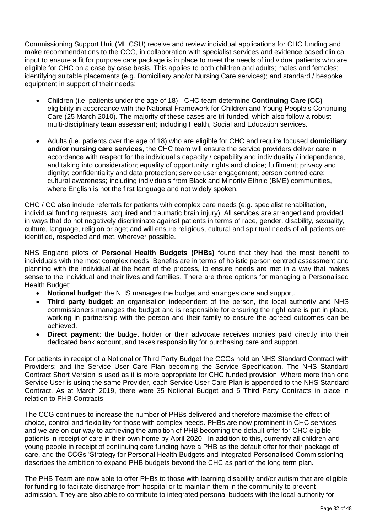Commissioning Support Unit (ML CSU) receive and review individual applications for CHC funding and make recommendations to the CCG, in collaboration with specialist services and evidence based clinical input to ensure a fit for purpose care package is in place to meet the needs of individual patients who are eligible for CHC on a case by case basis. This applies to both children and adults; males and females; identifying suitable placements (e.g. Domiciliary and/or Nursing Care services); and standard / bespoke equipment in support of their needs:

- Children (i.e. patients under the age of 18) CHC team determine **Continuing Care (CC)**  eligibility in accordance with the National Framework for Children and Young People's Continuing Care (25 March 2010). The majority of these cases are tri-funded, which also follow a robust multi-disciplinary team assessment; including Health, Social and Education services.
- Adults (i.e. patients over the age of 18) who are eligible for CHC and require focused **domiciliary and/or nursing care services**, the CHC team will ensure the service providers deliver care in accordance with respect for the individual's capacity / capability and individuality / independence, and taking into consideration; equality of opportunity; rights and choice; fulfilment; privacy and dignity; confidentiality and data protection; service user engagement; person centred care; cultural awareness; including individuals from Black and Minority Ethnic (BME) communities, where English is not the first language and not widely spoken.

CHC / CC also include referrals for patients with complex care needs (e.g. specialist rehabilitation, individual funding requests, acquired and traumatic brain injury). All services are arranged and provided in ways that do not negatively discriminate against patients in terms of race, gender, disability, sexuality, culture, language, religion or age; and will ensure religious, cultural and spiritual needs of all patients are identified, respected and met, wherever possible.

NHS England pilots of **Personal Health Budgets (PHBs)** found that they had the most benefit to individuals with the most complex needs. Benefits are in terms of holistic person centred assessment and planning with the individual at the heart of the process, to ensure needs are met in a way that makes sense to the individual and their lives and families. There are three options for managing a Personalised Health Budget:

- **Notional budget**: the NHS manages the budget and arranges care and support.
- **Third party budget**: an organisation independent of the person, the local authority and NHS commissioners manages the budget and is responsible for ensuring the right care is put in place, working in partnership with the person and their family to ensure the agreed outcomes can be achieved.
- **Direct payment**: the budget holder or their advocate receives monies paid directly into their dedicated bank account, and takes responsibility for purchasing care and support.

For patients in receipt of a Notional or Third Party Budget the CCGs hold an NHS Standard Contract with Providers; and the Service User Care Plan becoming the Service Specification. The NHS Standard Contract Short Version is used as it is more appropriate for CHC funded provision. Where more than one Service User is using the same Provider, each Service User Care Plan is appended to the NHS Standard Contract. As at March 2019, there were 35 Notional Budget and 5 Third Party Contracts in place in relation to PHB Contracts.

The CCG continues to increase the number of PHBs delivered and therefore maximise the effect of choice, control and flexibility for those with complex needs. PHBs are now prominent in CHC services and we are on our way to achieving the ambition of PHB becoming the default offer for CHC eligible patients in receipt of care in their own home by April 2020. In addition to this, currently all children and young people in receipt of continuing care funding have a PHB as the default offer for their package of care, and the CCGs 'Strategy for Personal Health Budgets and Integrated Personalised Commissioning' describes the ambition to expand PHB budgets beyond the CHC as part of the long term plan.

The PHB Team are now able to offer PHBs to those with learning disability and/or autism that are eligible for funding to facilitate discharge from hospital or to maintain them in the community to prevent admission. They are also able to contribute to integrated personal budgets with the local authority for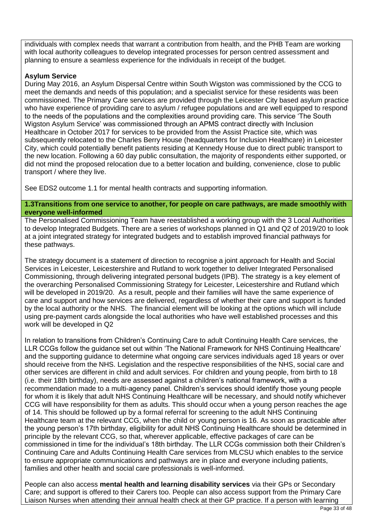individuals with complex needs that warrant a contribution from health, and the PHB Team are working with local authority colleagues to develop integrated processes for person centred assessment and planning to ensure a seamless experience for the individuals in receipt of the budget.

#### **Asylum Service**

During May 2016, an Asylum Dispersal Centre within South Wigston was commissioned by the CCG to meet the demands and needs of this population; and a specialist service for these residents was been commissioned. The Primary Care services are provided through the Leicester City based asylum practice who have experience of providing care to asylum / refugee populations and are well equipped to respond to the needs of the populations and the complexities around providing care. This service 'The South Wigston Asylum Service' was commissioned through an APMS contract directly with Inclusion Healthcare in October 2017 for services to be provided from the Assist Practice site, which was subsequently relocated to the Charles Berry House (headquarters for Inclusion Healthcare) in Leicester City, which could potentially benefit patients residing at Kennedy House due to direct public transport to the new location. Following a 60 day public consultation, the majority of respondents either supported, or did not mind the proposed relocation due to a better location and building, convenience, close to public transport / where they live.

See EDS2 outcome 1.1 for mental health contracts and supporting information.

**1.3Transitions from one service to another, for people on care pathways, are made smoothly with everyone well-informed**

The Personalised Commissioning Team have reestablished a working group with the 3 Local Authorities to develop Integrated Budgets. There are a series of workshops planned in Q1 and Q2 of 2019/20 to look at a joint integrated strategy for integrated budgets and to establish improved financial pathways for these pathways.

The strategy document is a statement of direction to recognise a joint approach for Health and Social Services in Leicester, Leicestershire and Rutland to work together to deliver Integrated Personalised Commissioning, through delivering integrated personal budgets (IPB). The strategy is a key element of the overarching Personalised Commissioning Strategy for Leicester, Leicestershire and Rutland which will be developed in 2019/20. As a result, people and their families will have the same experience of care and support and how services are delivered, regardless of whether their care and support is funded by the local authority or the NHS. The financial element will be looking at the options which will include using pre-payment cards alongside the local authorities who have well established processes and this work will be developed in Q2

In relation to transitions from Children's Continuing Care to adult Continuing Health Care services, the LLR CCGs follow the guidance set out within 'The National Framework for NHS Continuing Healthcare' and the supporting guidance to determine what ongoing care services individuals aged 18 years or over should receive from the NHS. Legislation and the respective responsibilities of the NHS, social care and other services are different in child and adult services. For children and young people, from birth to 18 (i.e. their 18th birthday), needs are assessed against a children's national framework, with a recommendation made to a multi-agency panel. Children's services should identify those young people for whom it is likely that adult NHS Continuing Healthcare will be necessary, and should notify whichever CCG will have responsibility for them as adults. This should occur when a young person reaches the age of 14. This should be followed up by a formal referral for screening to the adult NHS Continuing Healthcare team at the relevant CCG, when the child or young person is 16. As soon as practicable after the young person's 17th birthday, eligibility for adult NHS Continuing Healthcare should be determined in principle by the relevant CCG, so that, wherever applicable, effective packages of care can be commissioned in time for the individual's 18th birthday. The LLR CCGs commission both their Children's Continuing Care and Adults Continuing Health Care services from MLCSU which enables to the service to ensure appropriate communications and pathways are in place and everyone including patients, families and other health and social care professionals is well-informed.

People can also access **mental health and learning disability services** via their GPs or Secondary Care; and support is offered to their Carers too. People can also access support from the Primary Care Liaison Nurses when attending their annual health check at their GP practice. If a person with learning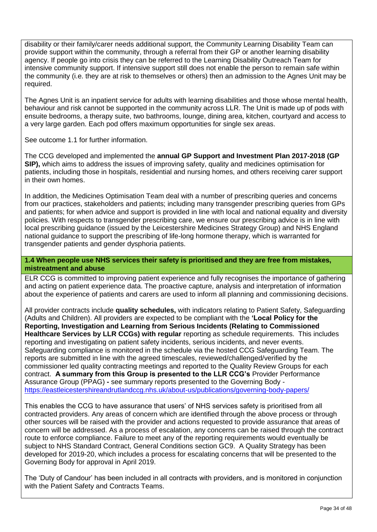disability or their family/carer needs additional support, the Community Learning Disability Team can provide support within the community, through a referral from their GP or another learning disability agency. If people go into crisis they can be referred to the Learning Disability Outreach Team for intensive community support. If intensive support still does not enable the person to remain safe within the community (i.e. they are at risk to themselves or others) then an admission to the Agnes Unit may be required.

The Agnes Unit is an inpatient service for adults with learning disabilities and those whose mental health, behaviour and risk cannot be supported in the community across LLR. The Unit is made up of pods with ensuite bedrooms, a therapy suite, two bathrooms, lounge, dining area, kitchen, courtyard and access to a very large garden. Each pod offers maximum opportunities for single sex areas.

See outcome 1.1 for further information.

The CCG developed and implemented the **annual GP Support and Investment Plan 2017-2018 (GP SIP),** which aims to address the issues of improving safety, quality and medicines optimisation for patients, including those in hospitals, residential and nursing homes, and others receiving carer support in their own homes.

In addition, the Medicines Optimisation Team deal with a number of prescribing queries and concerns from our practices, stakeholders and patients; including many transgender prescribing queries from GPs and patients; for when advice and support is provided in line with local and national equality and diversity policies. With respects to transgender prescribing care, we ensure our prescribing advice is in line with local prescribing guidance (issued by the Leicestershire Medicines Strategy Group) and NHS England national guidance to support the prescribing of life-long hormone therapy, which is warranted for transgender patients and gender dysphoria patients.

#### **1.4 When people use NHS services their safety is prioritised and they are free from mistakes, mistreatment and abuse**

ELR CCG is committed to improving patient experience and fully recognises the importance of gathering and acting on patient experience data. The proactive capture, analysis and interpretation of information about the experience of patients and carers are used to inform all planning and commissioning decisions.

All provider contracts include **quality schedules,** with indicators relating to Patient Safety, Safeguarding (Adults and Children). All providers are expected to be compliant with the **'Local Policy for the Reporting, Investigation and Learning from Serious Incidents (Relating to Commissioned Healthcare Services by LLR CCGs) with regular** reporting as schedule requirements. This includes reporting and investigating on patient safety incidents, serious incidents, and never events. Safeguarding compliance is monitored in the schedule via the hosted CCG Safeguarding Team. The reports are submitted in line with the agreed timescales, reviewed/challenged/verified by the commissioner led quality contracting meetings and reported to the Quality Review Groups for each contract. **A summary from this Group is presented to the LLR CCG's** Provider Performance Assurance Group (PPAG) **-** see summary reports presented to the Governing Body <https://eastleicestershireandrutlandccg.nhs.uk/about-us/publications/governing-body-papers/>

This enables the CCG to have assurance that users' of NHS services safety is prioritised from all contracted providers. Any areas of concern which are identified through the above process or through other sources will be raised with the provider and actions requested to provide assurance that areas of concern will be addressed. As a process of escalation, any concerns can be raised through the contract route to enforce compliance. Failure to meet any of the reporting requirements would eventually be subject to NHS Standard Contract, General Conditions section GC9. A Quality Strategy has been developed for 2019-20, which includes a process for escalating concerns that will be presented to the Governing Body for approval in April 2019.

The 'Duty of Candour' has been included in all contracts with providers, and is monitored in conjunction with the Patient Safety and Contracts Teams.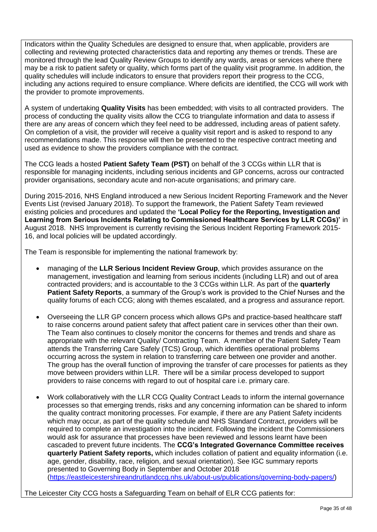Indicators within the Quality Schedules are designed to ensure that, when applicable, providers are collecting and reviewing protected characteristics data and reporting any themes or trends. These are monitored through the lead Quality Review Groups to identify any wards, areas or services where there may be a risk to patient safety or quality, which forms part of the quality visit programme. In addition, the quality schedules will include indicators to ensure that providers report their progress to the CCG, including any actions required to ensure compliance. Where deficits are identified, the CCG will work with the provider to promote improvements.

A system of undertaking **Quality Visits** has been embedded; with visits to all contracted providers. The process of conducting the quality visits allow the CCG to triangulate information and data to assess if there are any areas of concern which they feel need to be addressed, including areas of patient safety. On completion of a visit, the provider will receive a quality visit report and is asked to respond to any recommendations made. This response will then be presented to the respective contract meeting and used as evidence to show the providers compliance with the contract.

The CCG leads a hosted **Patient Safety Team (PST)** on behalf of the 3 CCGs within LLR that is responsible for managing incidents, including serious incidents and GP concerns, across our contracted provider organisations, secondary acute and non-acute organisations; and primary care.

During 2015-2016, NHS England introduced a new Serious Incident Reporting Framework and the Never Events List (revised January 2018). To support the framework, the Patient Safety Team reviewed existing policies and procedures and updated the **'Local Policy for the Reporting, Investigation and Learning from Serious Incidents Relating to Commissioned Healthcare Services by LLR CCGs)'** in August 2018. NHS Improvement is currently revising the Serious Incident Reporting Framework 2015- 16, and local policies will be updated accordingly.

The Team is responsible for implementing the national framework by:

- managing of the **LLR Serious Incident Review Group**, which provides assurance on the management, investigation and learning from serious incidents (including LLR) and out of area contracted providers; and is accountable to the 3 CCGs within LLR. As part of the **quarterly Patient Safety Reports**, a summary of the Group's work is provided to the Chief Nurses and the quality forums of each CCG; along with themes escalated, and a progress and assurance report.
- Overseeing the LLR GP concern process which allows GPs and practice-based healthcare staff to raise concerns around patient safety that affect patient care in services other than their own. The Team also continues to closely monitor the concerns for themes and trends and share as appropriate with the relevant Quality/ Contracting Team. A member of the Patient Safety Team attends the Transferring Care Safely (TCS) Group, which identifies operational problems occurring across the system in relation to transferring care between one provider and another. The group has the overall function of improving the transfer of care processes for patients as they move between providers within LLR. There will be a similar process developed to support providers to raise concerns with regard to out of hospital care i.e. primary care.
- Work collaboratively with the LLR CCG Quality Contract Leads to inform the internal governance processes so that emerging trends, risks and any concerning information can be shared to inform the quality contract monitoring processes. For example, if there are any Patient Safety incidents which may occur, as part of the quality schedule and NHS Standard Contract, providers will be required to complete an investigation into the incident. Following the incident the Commissioners would ask for assurance that processes have been reviewed and lessons learnt have been cascaded to prevent future incidents. The **CCG's Integrated Governance Committee receives quarterly Patient Safety reports,** which includes collation of patient and equality information (i.e. age, gender, disability, race, religion, and sexual orientation). See IGC summary reports presented to Governing Body in September and October 2018 [\(https://eastleicestershireandrutlandccg.nhs.uk/about-us/publications/governing-body-papers/\)](https://eastleicestershireandrutlandccg.nhs.uk/about-us/publications/governing-body-papers/)

The Leicester City CCG hosts a Safeguarding Team on behalf of ELR CCG patients for: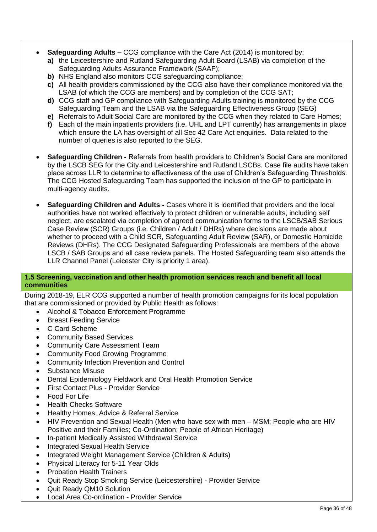- **Safeguarding Adults –** CCG compliance with the Care Act (2014) is monitored by:
	- **a)** the Leicestershire and Rutland Safeguarding Adult Board (LSAB) via completion of the Safeguarding Adults Assurance Framework (SAAF);
	- **b)** NHS England also monitors CCG safeguarding compliance;
	- **c)** All health providers commissioned by the CCG also have their compliance monitored via the LSAB (of which the CCG are members) and by completion of the CCG SAT;
	- **d)** CCG staff and GP compliance with Safeguarding Adults training is monitored by the CCG Safeguarding Team and the LSAB via the Safeguarding Effectiveness Group (SEG)
	- **e)** Referrals to Adult Social Care are monitored by the CCG when they related to Care Homes;
	- **f)** Each of the main inpatients providers (i.e. UHL and LPT currently) has arrangements in place which ensure the LA has oversight of all Sec 42 Care Act enquiries. Data related to the number of queries is also reported to the SEG.
- **Safeguarding Children -** Referrals from health providers to Children's Social Care are monitored by the LSCB SEG for the City and Leicestershire and Rutland LSCBs. Case file audits have taken place across LLR to determine to effectiveness of the use of Children's Safeguarding Thresholds. The CCG Hosted Safeguarding Team has supported the inclusion of the GP to participate in multi-agency audits.
- **Safeguarding Children and Adults -** Cases where it is identified that providers and the local authorities have not worked effectively to protect children or vulnerable adults, including self neglect, are escalated via completion of agreed communication forms to the LSCB/SAB Serious Case Review (SCR) Groups (i.e. Children / Adult / DHRs) where decisions are made about whether to proceed with a Child SCR, Safeguarding Adult Review (SAR), or Domestic Homicide Reviews (DHRs). The CCG Designated Safeguarding Professionals are members of the above LSCB / SAB Groups and all case review panels. The Hosted Safeguarding team also attends the LLR Channel Panel (Leicester City is priority 1 area).

#### **1.5 Screening, vaccination and other health promotion services reach and benefit all local communities**

During 2018-19, ELR CCG supported a number of health promotion campaigns for its local population that are commissioned or provided by Public Health as follows:

- Alcohol & Tobacco Enforcement Programme
- Breast Feeding Service
- C Card Scheme
- Community Based Services
- Community Care Assessment Team
- Community Food Growing Programme
- Community Infection Prevention and Control
- Substance Misuse
- Dental Epidemiology Fieldwork and Oral Health Promotion Service
- First Contact Plus Provider Service
- Food For Life
- Health Checks Software
- Healthy Homes, Advice & Referral Service
- HIV Prevention and Sexual Health (Men who have sex with men MSM; People who are HIV Positive and their Families; Co-Ordination; People of African Heritage)
- In-patient Medically Assisted Withdrawal Service
- Integrated Sexual Health Service
- Integrated Weight Management Service (Children & Adults)
- Physical Literacy for 5-11 Year Olds
- Probation Health Trainers
- Quit Ready Stop Smoking Service (Leicestershire) Provider Service
- Quit Ready QM10 Solution
- Local Area Co-ordination Provider Service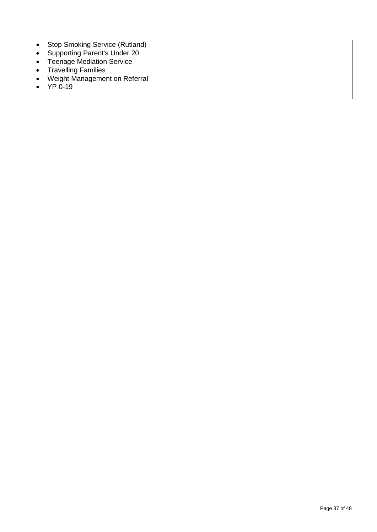- Stop Smoking Service (Rutland)
- Supporting Parent's Under 20
- Teenage Mediation Service
- Travelling Families
- Weight Management on Referral
- $\bullet$  YP 0-19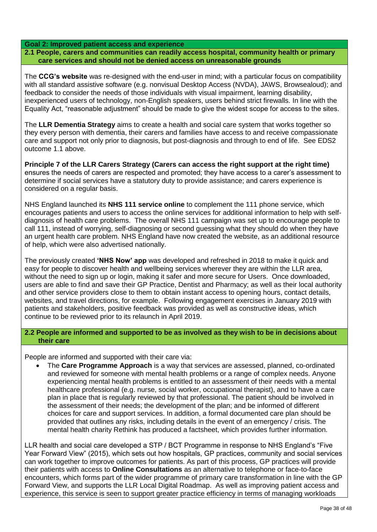#### **Goal 2: Improved patient access and experience**

**2.1 People, carers and communities can readily access hospital, community health or primary care services and should not be denied access on unreasonable grounds**

The **CCG's website** was re-designed with the end-user in mind; with a particular focus on compatibility with all standard assistive software (e.g. nonvisual Desktop Access (NVDA), JAWS, Browsealoud); and feedback to consider the needs of those individuals with visual impairment, learning disability, inexperienced users of technology, non-English speakers, users behind strict firewalls. In line with the Equality Act, "reasonable adjustment" should be made to give the widest scope for access to the sites.

The **LLR Dementia Strategy** aims to create a health and social care system that works together so they every person with dementia, their carers and families have access to and receive compassionate care and support not only prior to diagnosis, but post-diagnosis and through to end of life. See EDS2 outcome 1.1 above.

**Principle 7 of the LLR Carers Strategy (Carers can access the right support at the right time)**  ensures the needs of carers are respected and promoted; they have access to a carer's assessment to determine if social services have a statutory duty to provide assistance; and carers experience is considered on a regular basis.

NHS England launched its **NHS 111 service online** to complement the 111 phone service, which encourages patients and users to access the online services for additional information to help with selfdiagnosis of health care problems. The overall NHS 111 campaign was set up to encourage people to call 111, instead of worrying, self-diagnosing or second guessing what they should do when they have an urgent health care problem. NHS England have now created the website, as an additional resource of help, which were also advertised nationally.

The previously created **'NHS Now' app** was developed and refreshed in 2018 to make it quick and easy for people to discover health and wellbeing services wherever they are within the LLR area, without the need to sign up or login, making it safer and more secure for Users. Once downloaded, users are able to find and save their GP Practice, Dentist and Pharmacy; as well as their local authority and other service providers close to them to obtain instant access to opening hours, contact details, websites, and travel directions, for example. Following engagement exercises in January 2019 with patients and stakeholders, positive feedback was provided as well as constructive ideas, which continue to be reviewed prior to its relaunch in April 2019.

#### **2.2 People are informed and supported to be as involved as they wish to be in decisions about their care**

People are informed and supported with their care via:

 The **Care Programme Approach** is a way that services are assessed, planned, co-ordinated and reviewed for someone with mental health problems or a range of complex needs. Anyone experiencing mental health problems is entitled to an assessment of their needs with a mental healthcare professional (e.g. nurse, social worker, occupational therapist), and to have a care plan in place that is regularly reviewed by that professional. The patient should be involved in the assessment of their needs; the development of the plan; and be informed of different choices for care and support services. In addition, a formal documented care plan should be provided that outlines any risks, including details in the event of an emergency / crisis. The mental health charity Rethink has produced a factsheet, which provides further information.

LLR health and social care developed a STP / BCT Programme in response to NHS England's "Five Year Forward View" (2015), which sets out how hospitals, GP practices, community and social services can work together to improve outcomes for patients. As part of this process, GP practices will provide their patients with access to **Online Consultations** as an alternative to telephone or face-to-face encounters, which forms part of the wider programme of primary care transformation in line with the GP Forward View, and supports the LLR Local Digital Roadmap. As well as improving patient access and experience, this service is seen to support greater practice efficiency in terms of managing workloads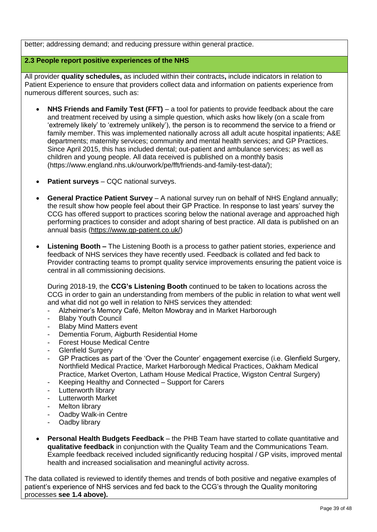better; addressing demand; and reducing pressure within general practice.

#### **2.3 People report positive experiences of the NHS**

All provider **quality schedules,** as included within their contracts**,** include indicators in relation to Patient Experience to ensure that providers collect data and information on patients experience from numerous different sources, such as:

- NHS Friends and Family Test (FFT) a tool for patients to provide feedback about the care and treatment received by using a simple question, which asks how likely (on a scale from 'extremely likely' to 'extremely unlikely'), the person is to recommend the service to a friend or family member. This was implemented nationally across all adult acute hospital inpatients; A&E departments; maternity services; community and mental health services; and GP Practices. Since April 2015, this has included dental; out-patient and ambulance services; as well as children and young people. All data received is published on a monthly basis (https://www.england.nhs.uk/ourwork/pe/fft/friends-and-family-test-data/);
- **Patient surveys**  CQC national surveys.
- **General Practice Patient Survey** A national survey run on behalf of NHS England annually; the result show how people feel about their GP Practice. In response to last years' survey the CCG has offered support to practices scoring below the national average and approached high performing practices to consider and adopt sharing of best practice. All data is published on an annual basis [\(https://www.gp-patient.co.uk/\)](https://www.gp-patient.co.uk/)
- **Listening Booth –** The Listening Booth is a process to gather patient stories, experience and feedback of NHS services they have recently used. Feedback is collated and fed back to Provider contracting teams to prompt quality service improvements ensuring the patient voice is central in all commissioning decisions.

During 2018-19, the **CCG's Listening Booth** continued to be taken to locations across the CCG in order to gain an understanding from members of the public in relation to what went well and what did not go well in relation to NHS services they attended:

- Alzheimer's Memory Café, Melton Mowbray and in Market Harborough
- **Blaby Youth Council**
- Blaby Mind Matters event
- Dementia Forum, Aigburth Residential Home
- **Forest House Medical Centre**
- Glenfield Surgery
- GP Practices as part of the 'Over the Counter' engagement exercise (i.e. Glenfield Surgery, Northfield Medical Practice, Market Harborough Medical Practices, Oakham Medical Practice, Market Overton, Latham House Medical Practice, Wigston Central Surgery)
- Keeping Healthy and Connected Support for Carers
- Lutterworth library
- Lutterworth Market
- Melton library
- Oadby Walk-in Centre
- Oadby library
- **Personal Health Budgets Feedback**  the PHB Team have started to collate quantitative and **qualitative feedback** in conjunction with the Quality Team and the Communications Team. Example feedback received included significantly reducing hospital / GP visits, improved mental health and increased socialisation and meaningful activity across.

The data collated is reviewed to identify themes and trends of both positive and negative examples of patient's experience of NHS services and fed back to the CCG's through the Quality monitoring processes **see 1.4 above).**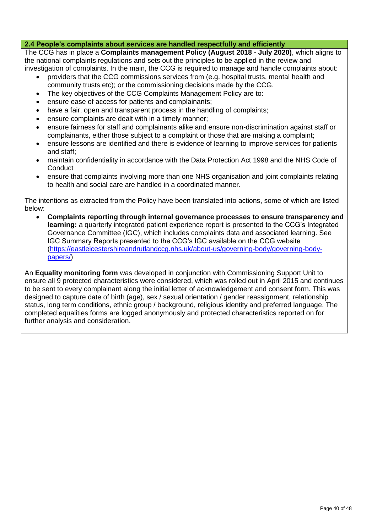#### **2.4 People's complaints about services are handled respectfully and efficiently**

The CCG has in place a **Complaints management Policy (August 2018 - July 2020)**, which aligns to the national complaints regulations and sets out the principles to be applied in the review and investigation of complaints. In the main, the CCG is required to manage and handle complaints about:

- providers that the CCG commissions services from (e.g. hospital trusts, mental health and community trusts etc); or the commissioning decisions made by the CCG.
- The key objectives of the CCG Complaints Management Policy are to:
- ensure ease of access for patients and complainants;
- have a fair, open and transparent process in the handling of complaints;
- ensure complaints are dealt with in a timely manner;
- ensure fairness for staff and complainants alike and ensure non-discrimination against staff or complainants, either those subject to a complaint or those that are making a complaint;
- ensure lessons are identified and there is evidence of learning to improve services for patients and staff;
- maintain confidentiality in accordance with the Data Protection Act 1998 and the NHS Code of **Conduct**
- ensure that complaints involving more than one NHS organisation and joint complaints relating to health and social care are handled in a coordinated manner.

The intentions as extracted from the Policy have been translated into actions, some of which are listed below:

 **Complaints reporting through internal governance processes to ensure transparency and learning:** a quarterly integrated patient experience report is presented to the CCG's Integrated Governance Committee (IGC), which includes complaints data and associated learning. See IGC Summary Reports presented to the CCG's IGC available on the CCG website [\(https://eastleicestershireandrutlandccg.nhs.uk/about-us/governing-body/governing-body](https://eastleicestershireandrutlandccg.nhs.uk/about-us/governing-body/governing-body-papers/)[papers/\)](https://eastleicestershireandrutlandccg.nhs.uk/about-us/governing-body/governing-body-papers/)

An **Equality monitoring form** was developed in conjunction with Commissioning Support Unit to ensure all 9 protected characteristics were considered, which was rolled out in April 2015 and continues to be sent to every complainant along the initial letter of acknowledgement and consent form. This was designed to capture date of birth (age), sex / sexual orientation / gender reassignment, relationship status, long term conditions, ethnic group / background, religious identity and preferred language. The completed equalities forms are logged anonymously and protected characteristics reported on for further analysis and consideration.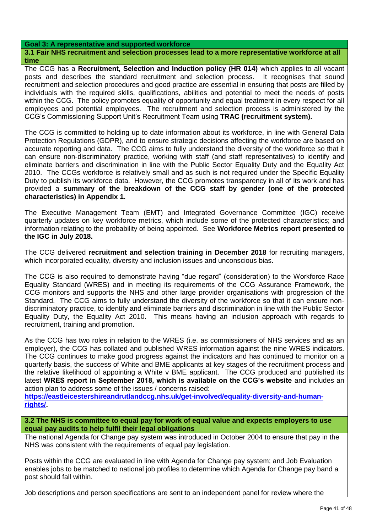#### **Goal 3: A representative and supported workforce**

**3.1 Fair NHS recruitment and selection processes lead to a more representative workforce at all time**

The CCG has a **Recruitment, Selection and Induction policy (HR 014)** which applies to all vacant posts and describes the standard recruitment and selection process. It recognises that sound recruitment and selection procedures and good practice are essential in ensuring that posts are filled by individuals with the required skills, qualifications, abilities and potential to meet the needs of posts within the CCG. The policy promotes equality of opportunity and equal treatment in every respect for all employees and potential employees. The recruitment and selection process is administered by the CCG's Commissioning Support Unit's Recruitment Team using **TRAC (recruitment system).**

The CCG is committed to holding up to date information about its workforce, in line with General Data Protection Regulations (GDPR), and to ensure strategic decisions affecting the workforce are based on accurate reporting and data. The CCG aims to fully understand the diversity of the workforce so that it can ensure non-discriminatory practice, working with staff (and staff representatives) to identify and eliminate barriers and discrimination in line with the Public Sector Equality Duty and the Equality Act 2010. The CCGs workforce is relatively small and as such is not required under the Specific Equality Duty to publish its workforce data. However, the CCG promotes transparency in all of its work and has provided a **summary of the breakdown of the CCG staff by gender (one of the protected characteristics) in Appendix 1.** 

The Executive Management Team (EMT) and Integrated Governance Committee (IGC) receive quarterly updates on key workforce metrics, which include some of the protected characteristics; and information relating to the probability of being appointed. See **Workforce Metrics report presented to the IGC in July 2018.**

The CCG delivered **recruitment and selection training in December 2018** for recruiting managers, which incorporated equality, diversity and inclusion issues and unconscious bias.

The CCG is also required to demonstrate having "due regard" (consideration) to the Workforce Race Equality Standard (WRES) and in meeting its requirements of the CCG Assurance Framework, the CCG monitors and supports the NHS and other large provider organisations with progression of the Standard. The CCG aims to fully understand the diversity of the workforce so that it can ensure nondiscriminatory practice, to identify and eliminate barriers and discrimination in line with the Public Sector Equality Duty, the Equality Act 2010. This means having an inclusion approach with regards to recruitment, training and promotion.

As the CCG has two roles in relation to the WRES (i.e. as commissioners of NHS services and as an employer), the CCG has collated and published WRES information against the nine WRES indicators. The CCG continues to make good progress against the indicators and has continued to monitor on a quarterly basis, the success of White and BME applicants at key stages of the recruitment process and the relative likelihood of appointing a White v BME applicant. The CCG produced and published its latest **WRES report in September 2018, which is available on the CCG's website** and includes an action plan to address some of the issues / concerns raised:

**[https://eastleicestershireandrutlandccg.nhs.uk/get-involved/equality-diversity-and-human](https://eastleicestershireandrutlandccg.nhs.uk/get-involved/equality-diversity-and-human-rights/)[rights/.](https://eastleicestershireandrutlandccg.nhs.uk/get-involved/equality-diversity-and-human-rights/)** 

**3.2 The NHS is committee to equal pay for work of equal value and expects employers to use equal pay audits to help fulfil their legal obligations**

The national Agenda for Change pay system was introduced in October 2004 to ensure that pay in the NHS was consistent with the requirements of equal pay legislation.

Posts within the CCG are evaluated in line with Agenda for Change pay system; and Job Evaluation enables jobs to be matched to national job profiles to determine which Agenda for Change pay band a post should fall within.

Job descriptions and person specifications are sent to an independent panel for review where the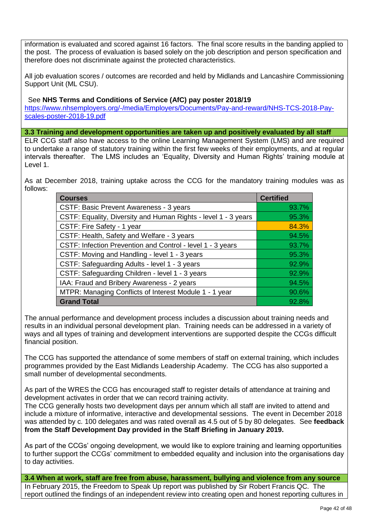information is evaluated and scored against 16 factors. The final score results in the banding applied to the post. The process of evaluation is based solely on the job description and person specification and therefore does not discriminate against the protected characteristics.

All job evaluation scores / outcomes are recorded and held by Midlands and Lancashire Commissioning Support Unit (ML CSU).

#### See **NHS Terms and Conditions of Service (AfC) pay poster 2018/19**

[https://www.nhsemployers.org/-/media/Employers/Documents/Pay-and-reward/NHS-TCS-2018-Pay](https://www.nhsemployers.org/-/media/Employers/Documents/Pay-and-reward/NHS-TCS-2018-Pay-scales-poster-2018-19.pdf)[scales-poster-2018-19.pdf](https://www.nhsemployers.org/-/media/Employers/Documents/Pay-and-reward/NHS-TCS-2018-Pay-scales-poster-2018-19.pdf)

**3.3 Training and development opportunities are taken up and positively evaluated by all staff**

ELR CCG staff also have access to the online Learning Management System (LMS) and are required to undertake a range of statutory training within the first few weeks of their employments, and at regular intervals thereafter. The LMS includes an 'Equality, Diversity and Human Rights' training module at Level 1.

As at December 2018, training uptake across the CCG for the mandatory training modules was as follows:

| <b>Courses</b>                                                 | <b>Certified</b> |
|----------------------------------------------------------------|------------------|
| CSTF: Basic Prevent Awareness - 3 years                        | 93.7%            |
| CSTF: Equality, Diversity and Human Rights - level 1 - 3 years | 95.3%            |
| CSTF: Fire Safety - 1 year                                     | 84.3%            |
| CSTF: Health, Safety and Welfare - 3 years                     | 94.5%            |
| CSTF: Infection Prevention and Control - level 1 - 3 years     | 93.7%            |
| CSTF: Moving and Handling - level 1 - 3 years                  | 95.3%            |
| CSTF: Safeguarding Adults - level 1 - 3 years                  | 92.9%            |
| CSTF: Safeguarding Children - level 1 - 3 years                | 92.9%            |
| IAA: Fraud and Bribery Awareness - 2 years                     | 94.5%            |
| MTPR: Managing Conflicts of Interest Module 1 - 1 year         | 90.6%            |
| <b>Grand Total</b>                                             | 92.8%            |

The annual performance and development process includes a discussion about training needs and results in an individual personal development plan. Training needs can be addressed in a variety of ways and all types of training and development interventions are supported despite the CCGs difficult financial position.

The CCG has supported the attendance of some members of staff on external training, which includes programmes provided by the East Midlands Leadership Academy. The CCG has also supported a small number of developmental secondments.

As part of the WRES the CCG has encouraged staff to register details of attendance at training and development activates in order that we can record training activity.

The CCG generally hosts two development days per annum which all staff are invited to attend and include a mixture of informative, interactive and developmental sessions. The event in December 2018 was attended by c. 100 delegates and was rated overall as 4.5 out of 5 by 80 delegates. See **feedback from the Staff Development Day provided in the Staff Briefing in January 2019.** 

As part of the CCGs' ongoing development, we would like to explore training and learning opportunities to further support the CCGs' commitment to embedded equality and inclusion into the organisations day to day activities.

**3.4 When at work, staff are free from abuse, harassment, bullying and violence from any source** In February 2015, the Freedom to Speak Up report was published by Sir Robert Francis QC. The report outlined the findings of an independent review into creating open and honest reporting cultures in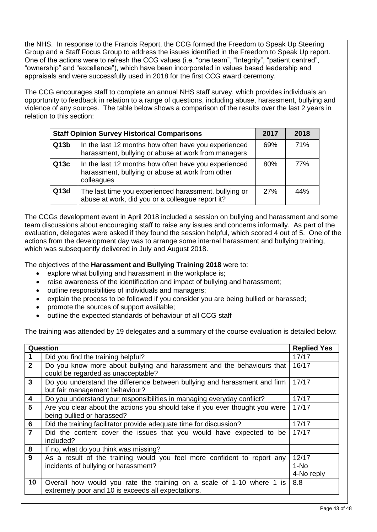the NHS. In response to the Francis Report, the CCG formed the Freedom to Speak Up Steering Group and a Staff Focus Group to address the issues identified in the Freedom to Speak Up report. One of the actions were to refresh the CCG values (i.e. "one team", "Integrity", "patient centred", "ownership" and "excellence"), which have been incorporated in values based leadership and appraisals and were successfully used in 2018 for the first CCG award ceremony.

The CCG encourages staff to complete an annual NHS staff survey, which provides individuals an opportunity to feedback in relation to a range of questions, including abuse, harassment, bullying and violence of any sources. The table below shows a comparison of the results over the last 2 years in relation to this section:

|      | <b>Staff Opinion Survey Historical Comparisons</b>                                                                     | 2017 | 2018 |
|------|------------------------------------------------------------------------------------------------------------------------|------|------|
| Q13b | In the last 12 months how often have you experienced<br>harassment, bullying or abuse at work from managers            | 69%  | 71%  |
| Q13c | In the last 12 months how often have you experienced<br>harassment, bullying or abuse at work from other<br>colleagues | 80%  | 77%  |
| Q13d | The last time you experienced harassment, bullying or<br>abuse at work, did you or a colleague report it?              | 27%  | 44%  |

The CCGs development event in April 2018 included a session on bullying and harassment and some team discussions about encouraging staff to raise any issues and concerns informally. As part of the evaluation, delegates were asked if they found the session helpful, which scored 4 out of 5. One of the actions from the development day was to arrange some internal harassment and bullying training, which was subsequently delivered in July and August 2018.

The objectives of the **Harassment and Bullying Training 2018** were to:

- explore what bullying and harassment in the workplace is;
- raise awareness of the identification and impact of bullying and harassment;
- outline responsibilities of individuals and managers;
- explain the process to be followed if you consider you are being bullied or harassed;
- promote the sources of support available;
- outline the expected standards of behaviour of all CCG staff

The training was attended by 19 delegates and a summary of the course evaluation is detailed below:

|                | Question                                                                                                                    | <b>Replied Yes</b>          |
|----------------|-----------------------------------------------------------------------------------------------------------------------------|-----------------------------|
|                | Did you find the training helpful?                                                                                          | 17/17                       |
| $\overline{2}$ | Do you know more about bullying and harassment and the behaviours that<br>could be regarded as unacceptable?                | 16/17                       |
| $\mathbf{3}$   | Do you understand the difference between bullying and harassment and firm<br>but fair management behaviour?                 | 17/17                       |
| 4              | Do you understand your responsibilities in managing everyday conflict?                                                      | 17/17                       |
| $5\phantom{1}$ | Are you clear about the actions you should take if you ever thought you were<br>being bullied or harassed?                  | 17/17                       |
| $6\phantom{1}$ | Did the training facilitator provide adequate time for discussion?                                                          | 17/17                       |
| $\overline{7}$ | Did the content cover the issues that you would have expected to be<br>included?                                            | 17/17                       |
| 8              | If no, what do you think was missing?                                                                                       |                             |
| $\mathbf{9}$   | As a result of the training would you feel more confident to report any<br>incidents of bullying or harassment?             | 12/17<br>1-No<br>4-No reply |
| 10             | Overall how would you rate the training on a scale of 1-10 where 1 is<br>extremely poor and 10 is exceeds all expectations. | 8.8                         |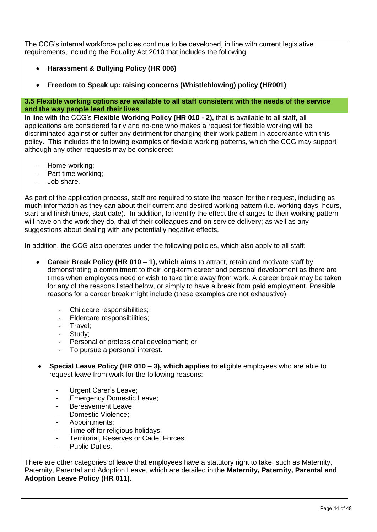The CCG's internal workforce policies continue to be developed, in line with current legislative requirements, including the Equality Act 2010 that includes the following:

- **Harassment & Bullying Policy (HR 006)**
- **Freedom to Speak up: raising concerns (Whistleblowing) policy (HR001)**

#### **3.5 Flexible working options are available to all staff consistent with the needs of the service and the way people lead their lives**

In line with the CCG's **Flexible Working Policy (HR 010 - 2),** that is available to all staff, all applications are considered fairly and no-one who makes a request for flexible working will be discriminated against or suffer any detriment for changing their work pattern in accordance with this policy. This includes the following examples of flexible working patterns, which the CCG may support although any other requests may be considered:

- Home-working;
- Part time working;
- Job share.

As part of the application process, staff are required to state the reason for their request, including as much information as they can about their current and desired working pattern (i.e. working days, hours, start and finish times, start date). In addition, to identify the effect the changes to their working pattern will have on the work they do, that of their colleagues and on service delivery; as well as any suggestions about dealing with any potentially negative effects.

In addition, the CCG also operates under the following policies, which also apply to all staff:

- **Career Break Policy (HR 010 – 1), which aims** to attract, retain and motivate staff by demonstrating a commitment to their long-term career and personal development as there are times when employees need or wish to take time away from work. A career break may be taken for any of the reasons listed below, or simply to have a break from paid employment. Possible reasons for a career break might include (these examples are not exhaustive):
	- Childcare responsibilities:
	- Eldercare responsibilities:
	- Travel:
	- Study:
	- Personal or professional development; or
	- To pursue a personal interest.
- **Special Leave Policy (HR 010 – 3), which applies to e**ligible employees who are able to request leave from work for the following reasons:
	- Urgent Carer's Leave;
	- Emergency Domestic Leave;
	- Bereavement Leave;
	- Domestic Violence;
	- Appointments;
	- Time off for religious holidays;
	- Territorial, Reserves or Cadet Forces:
	- Public Duties.

There are other categories of leave that employees have a statutory right to take, such as Maternity, Paternity, Parental and Adoption Leave, which are detailed in the **Maternity, Paternity, Parental and Adoption Leave Policy (HR 011).**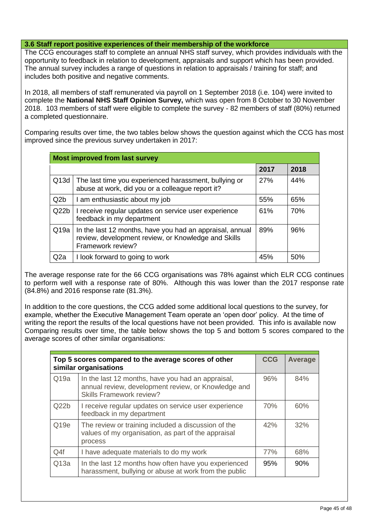#### **3.6 Staff report positive experiences of their membership of the workforce**

The CCG encourages staff to complete an annual NHS staff survey, which provides individuals with the opportunity to feedback in relation to development, appraisals and support which has been provided. The annual survey includes a range of questions in relation to appraisals / training for staff; and includes both positive and negative comments.

In 2018, all members of staff remunerated via payroll on 1 September 2018 (i.e. 104) were invited to complete the **National NHS Staff Opinion Survey,** which was open from 8 October to 30 November 2018. 103 members of staff were eligible to complete the survey - 82 members of staff (80%) returned a completed questionnaire.

Comparing results over time, the two tables below shows the question against which the CCG has most improved since the previous survey undertaken in 2017:

| <b>Most improved from last survey</b> |                                                                                                                                      |      |      |
|---------------------------------------|--------------------------------------------------------------------------------------------------------------------------------------|------|------|
|                                       |                                                                                                                                      | 2017 | 2018 |
| Q13d                                  | The last time you experienced harassment, bullying or<br>abuse at work, did you or a colleague report it?                            | 27%  | 44%  |
| Q2b                                   | I am enthusiastic about my job                                                                                                       | 55%  | 65%  |
| Q22b                                  | I receive regular updates on service user experience<br>feedback in my department                                                    | 61%  | 70%  |
| Q19a                                  | In the last 12 months, have you had an appraisal, annual<br>review, development review, or Knowledge and Skills<br>Framework review? | 89%  | 96%  |
| Q <sub>2</sub> a                      | I look forward to going to work                                                                                                      | 45%  | 50%  |

The average response rate for the 66 CCG organisations was 78% against which ELR CCG continues to perform well with a response rate of 80%. Although this was lower than the 2017 response rate (84.8%) and 2016 response rate (81.3%).

In addition to the core questions, the CCG added some additional local questions to the survey, for example, whether the Executive Management Team operate an 'open door' policy. At the time of writing the report the results of the local questions have not been provided. This info is available now Comparing results over time, the table below shows the top 5 and bottom 5 scores compared to the average scores of other similar organisations:

|                  | Top 5 scores compared to the average scores of other<br>similar organisations                                                               | <b>CCG</b> | Average |
|------------------|---------------------------------------------------------------------------------------------------------------------------------------------|------------|---------|
| Q19a             | In the last 12 months, have you had an appraisal,<br>annual review, development review, or Knowledge and<br><b>Skills Framework review?</b> | 96%        | 84%     |
| Q22b             | I receive regular updates on service user experience<br>feedback in my department                                                           | 70%        | 60%     |
| Q <sub>19e</sub> | The review or training included a discussion of the<br>values of my organisation, as part of the appraisal<br>process                       | 42%        | 32%     |
| Q4f              | I have adequate materials to do my work                                                                                                     | 77%        | 68%     |
| Q13a             | In the last 12 months how often have you experienced<br>harassment, bullying or abuse at work from the public                               | 95%        | 90%     |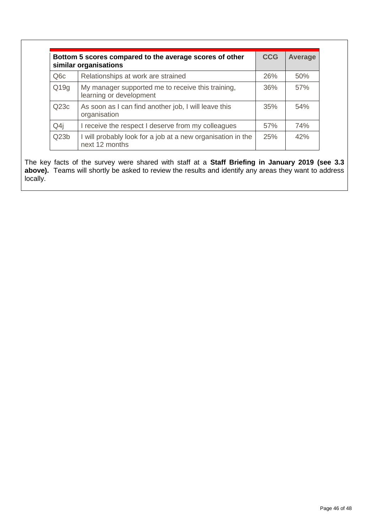|                  | Bottom 5 scores compared to the average scores of other<br>similar organisations | <b>CCG</b> | Average |
|------------------|----------------------------------------------------------------------------------|------------|---------|
| Q <sub>6</sub> c | Relationships at work are strained                                               | 26%        | 50%     |
| Q19q             | My manager supported me to receive this training,<br>learning or development     | 36%        | 57%     |
| Q23c             | As soon as I can find another job, I will leave this<br>organisation             | 35%        | 54%     |
| Q4j              | I receive the respect I deserve from my colleagues                               | 57%        | 74%     |
| Q23b             | I will probably look for a job at a new organisation in the<br>next 12 months    | 25%        | 42%     |

The key facts of the survey were shared with staff at a **Staff Briefing in January 2019 (see 3.3 above).** Teams will shortly be asked to review the results and identify any areas they want to address locally.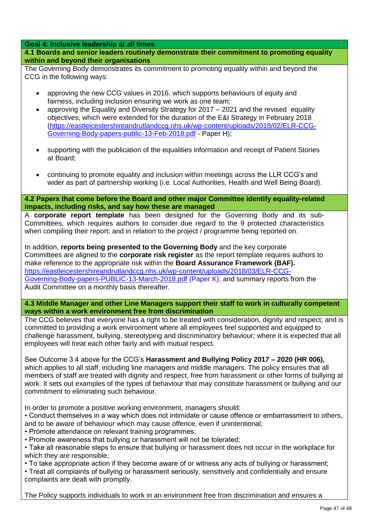#### **Goal 4: Inclusive leadership at all times**

**4.1 Boards and senior leaders routinely demonstrate their commitment to promoting equality within and beyond their organisations**

The Governing Body demonstrates its commitment to promoting equality within and beyond the CCG in the following ways:

- approving the new CCG values in 2016, which supports behaviours of equity and fairness, including inclusion ensuring we work as one team;
- approving the Equality and Diversity Strategy for 2017 2021 and the revised equality objectives, which were extended for the duration of the E&I Strategy in February 2018 [\(https://eastleicestershireandrutlandccg.nhs.uk/wp-content/uploads/2018/02/ELR-CCG-](https://eastleicestershireandrutlandccg.nhs.uk/wp-content/uploads/2018/02/ELR-CCG-Governing-Body-papers-public-13-Feb-2018.pdf)[Governing-Body-papers-public-13-Feb-2018.pdf](https://eastleicestershireandrutlandccg.nhs.uk/wp-content/uploads/2018/02/ELR-CCG-Governing-Body-papers-public-13-Feb-2018.pdf) - Paper H);
- supporting with the publication of the equalities information and receipt of Patient Stories at Board;
- continuing to promote equality and inclusion within meetings across the LLR CCG's and wider as part of partnership working (i.e. Local Authorities, Health and Well Being Board).

**4.2 Papers that come before the Board and other major Committee identify equality-related impacts, including risks, and say how these are managed**

A **corporate report template** has been designed for the Governing Body and its sub-Committees, which requires authors to consider due regard to the 9 protected characteristics when compiling their report; and in relation to the project / programme being reported on.

In addition, **reports being presented to the Governing Body** and the key corporate Committees are aligned to the **corporate risk register** as the report template requires authors to make reference to the appropriate risk within the **Board Assurance Framework (BAF).**  [https://eastleicestershireandrutlandccg.nhs.uk/wp-content/uploads/2018/03/ELR-CCG-](https://eastleicestershireandrutlandccg.nhs.uk/wp-content/uploads/2018/03/ELR-CCG-Governing-Body-papers-PUBLIC-13-March-2018.pdf)[Governing-Body-papers-PUBLIC-13-March-2018.pdf](https://eastleicestershireandrutlandccg.nhs.uk/wp-content/uploads/2018/03/ELR-CCG-Governing-Body-papers-PUBLIC-13-March-2018.pdf) (Paper K); and summary reports from the Audit Committee on a monthly basis thereafter.

#### **4.3 Middle Manager and other Line Managers support their staff to work in culturally competent ways within a work environment free from discrimination**

The CCG believes that everyone has a right to be treated with consideration, dignity and respect; and is committed to providing a work environment where all employees feel supported and equipped to challenge harassment, bullying, stereotyping and discriminatory behaviour; where it is expected that all employees will treat each other fairly and with mutual respect.

See Outcome 3.4 above for the CCG's **Harassment and Bullying Policy 2017 – 2020 (HR 006),**  which applies to all staff, including line managers and middle managers. The policy ensures that all members of staff are treated with dignity and respect, free from harassment or other forms of bullying at work. It sets out examples of the types of behaviour that may constitute harassment or bullying and our commitment to eliminating such behaviour.

In order to promote a positive working environment, managers should:

- Conduct themselves in a way which does not intimidate or cause offence or embarrassment to others, and to be aware of behaviour which may cause offence, even if unintentional;
- Promote attendance on relevant training programmes;
- Promote awareness that bullying or harassment will not be tolerated;

• Take all reasonable steps to ensure that bullying or harassment does not occur in the workplace for which they are responsible;

- To take appropriate action if they become aware of or witness any acts of bullying or harassment;
- Treat all complaints of bullying or harassment seriously, sensitively and confidentially and ensure complaints are dealt with promptly.

The Policy supports individuals to work in an environment free from discrimination and ensures a